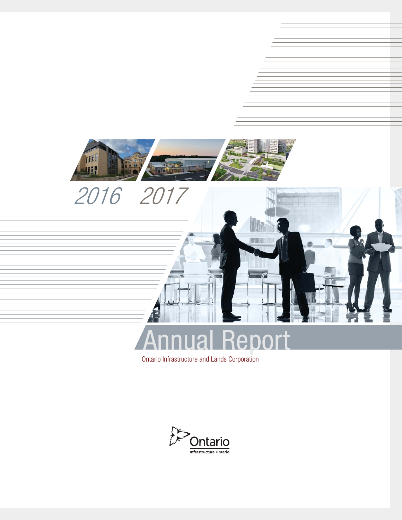

# Annual Report

**The Silver** 

Ontario Infrastructure and Lands Corporation

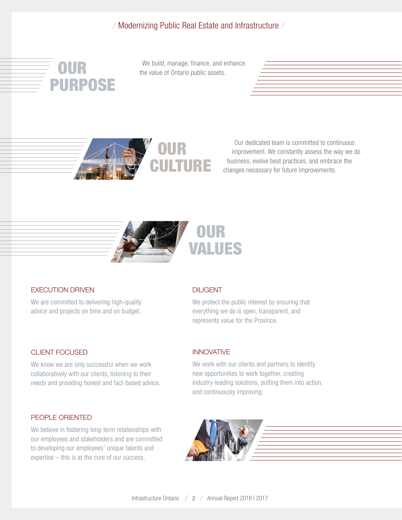# Modernizing Public Real Estate and Infrastructure

We build, manage, finance, and enhance the value of Ontario public assets.

**OUR CULTURE** 

Our dedicated team is committed to continuous improvement. We constantly assess the way we do business, evolve best practices, and embrace the changes necessary for future improvements.



# EXECUTION DRIVEN

**OUR** 

PURPOSE

We are committed to delivering high-quality advice and projects on time and on budget.

# CLIENT FOCUSED

We know we are only successful when we work collaboratively with our clients, listening to their needs and providing honest and fact-based advice.

## PEOPLE ORIENTED

We believe in fostering long-term relationships with our employees and stakeholders and are committed to developing our employees' unique talents and expertise – this is at the core of our success.

# DILIGENT

We protect the public interest by ensuring that everything we do is open, transparent, and represents value for the Province.

# INNOVATIVE

We work with our clients and partners to identify new opportunities to work together, creating industry-leading solutions, putting them into action, and continuously improving.

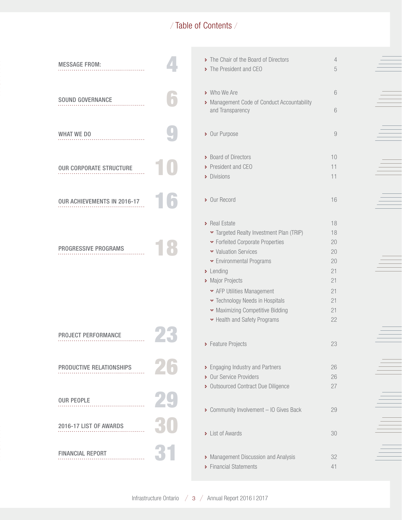# /Table of Contents /

| <b>MESSAGE FROM:</b>            | The Chair of the Board of Directors         | 4        |
|---------------------------------|---------------------------------------------|----------|
|                                 | The President and CEO                       | 5        |
|                                 |                                             |          |
|                                 | > Who We Are                                | 6        |
| <b>SOUND GOVERNANCE</b>         | > Management Code of Conduct Accountability |          |
|                                 | and Transparency                            | 6        |
|                                 |                                             |          |
| WHAT WE DO                      | • Our Purpose                               | 9        |
|                                 |                                             |          |
|                                 | <b>Board of Directors</b>                   |          |
|                                 | President and CEO                           | 10<br>11 |
| <b>OUR CORPORATE STRUCTURE</b>  | Divisions                                   | 11       |
|                                 |                                             |          |
|                                 |                                             |          |
| OUR ACHIEVEMENTS IN 2016-17     | <b>Dur Record</b>                           | 16       |
|                                 |                                             |          |
|                                 | Real Estate                                 | 18       |
|                                 | Targeted Realty Investment Plan (TRIP)      | 18       |
|                                 | Forfeited Corporate Properties              | 20       |
| PROGRESSIVE PROGRAMS            | v Valuation Services                        | 20       |
|                                 | Environmental Programs                      | 20       |
|                                 | Lending                                     | 21       |
|                                 | Major Projects                              | 21       |
|                                 | ▼ AFP Utilities Management                  | 21       |
|                                 | Technology Needs in Hospitals               | 21       |
|                                 | • Maximizing Competitive Bidding            | 21       |
|                                 | ▼ Health and Safety Programs                | 22       |
|                                 |                                             |          |
| <b>PROJECT PERFORMANCE</b>      | <b>&gt;</b> Feature Projects                | 23       |
|                                 |                                             |          |
|                                 |                                             |          |
| <b>PRODUCTIVE RELATIONSHIPS</b> | <b>&gt; Engaging Industry and Partners</b>  | 26       |
|                                 | <b>Dur Service Providers</b>                | 26       |
|                                 | <b>Dutsourced Contract Due Diligence</b>    | 27       |
| <b>OUR PEOPLE</b>               |                                             |          |
|                                 | Community Involvement - IO Gives Back       | 29       |
|                                 |                                             |          |
| 2016-17 LIST OF AWARDS          | <b>&gt;</b> List of Awards                  | 30       |
|                                 |                                             |          |
| <b>FINANCIAL REPORT</b>         |                                             |          |
|                                 | Management Discussion and Analysis          | 32       |
|                                 | Financial Statements                        | 41       |
|                                 |                                             |          |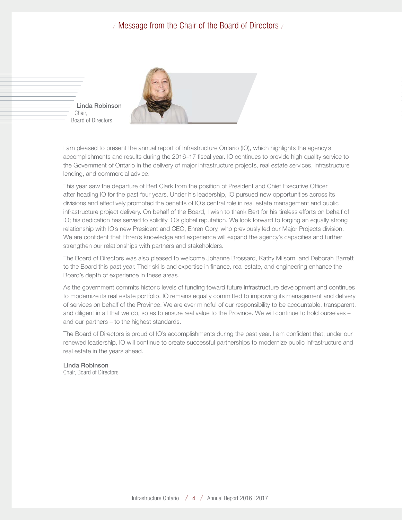# <span id="page-3-1"></span><span id="page-3-0"></span> $\sqrt{m}$  Message from the Chair of the Board of Directors  $\sqrt{m}$



Linda Robinson Chair, Board of Directors

I am pleased to present the annual report of Infrastructure Ontario (IO), which highlights the agency's accomplishments and results during the 2016–17 fiscal year. IO continues to provide high quality service to the Government of Ontario in the delivery of major infrastructure projects, real estate services, infrastructure lending, and commercial advice.

This year saw the departure of Bert Clark from the position of President and Chief Executive Officer after heading IO for the past four years. Under his leadership, IO pursued new opportunities across its divisions and effectively promoted the benefits of IO's central role in real estate management and public infrastructure project delivery. On behalf of the Board, I wish to thank Bert for his tireless efforts on behalf of IO; his dedication has served to solidify IO's global reputation. We look forward to forging an equally strong relationship with IO's new President and CEO, Ehren Cory, who previously led our Major Projects division. We are confident that Ehren's knowledge and experience will expand the agency's capacities and further strengthen our relationships with partners and stakeholders.

The Board of Directors was also pleased to welcome Johanne Brossard, Kathy Milsom, and Deborah Barrett to the Board this past year. Their skills and expertise in finance, real estate, and engineering enhance the Board's depth of experience in these areas.

As the government commits historic levels of funding toward future infrastructure development and continues to modernize its real estate portfolio, IO remains equally committed to improving its management and delivery of services on behalf of the Province. We are ever mindful of our responsibility to be accountable, transparent, and diligent in all that we do, so as to ensure real value to the Province. We will continue to hold ourselves – and our partners – to the highest standards.

The Board of Directors is proud of IO's accomplishments during the past year. I am confident that, under our renewed leadership, IO will continue to create successful partnerships to modernize public infrastructure and real estate in the years ahead.

Linda Robinson Chair, Board of Directors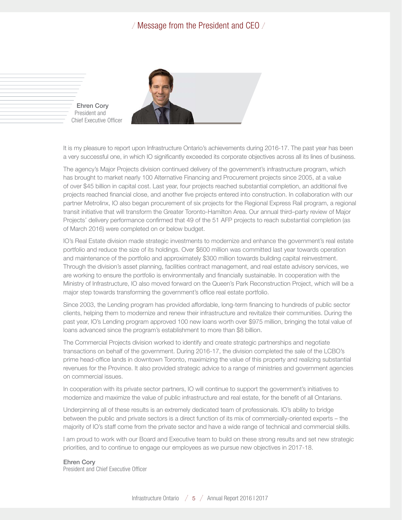<span id="page-4-0"></span> $\angle$  Message from the President and CEO  $\angle$ 

Ehren Cory President and Chief Executive Officer



It is my pleasure to report upon Infrastructure Ontario's achievements during 2016-17. The past year has been a very successful one, in which IO significantly exceeded its corporate objectives across all its lines of business.

The agency's Major Projects division continued delivery of the government's infrastructure program, which has brought to market nearly 100 Alternative Financing and Procurement projects since 2005, at a value of over \$45 billion in capital cost. Last year, four projects reached substantial completion, an additional five projects reached financial close, and another five projects entered into construction. In collaboration with our partner Metrolinx, IO also began procurement of six projects for the Regional Express Rail program, a regional transit initiative that will transform the Greater Toronto-Hamilton Area. Our annual third–party review of Major Projects' delivery performance confirmed that 49 of the 51 AFP projects to reach substantial completion (as of March 2016) were completed on or below budget.

IO's Real Estate division made strategic investments to modernize and enhance the government's real estate portfolio and reduce the size of its holdings. Over \$600 million was committed last year towards operation and maintenance of the portfolio and approximately \$300 million towards building capital reinvestment. Through the division's asset planning, facilities contract management, and real estate advisory services, we are working to ensure the portfolio is environmentally and financially sustainable. In cooperation with the Ministry of Infrastructure, IO also moved forward on the Queen's Park Reconstruction Project, which will be a major step towards transforming the government's office real estate portfolio.

Since 2003, the Lending program has provided affordable, long-term financing to hundreds of public sector clients, helping them to modernize and renew their infrastructure and revitalize their communities. During the past year, IO's Lending program approved 100 new loans worth over \$975 million, bringing the total value of loans advanced since the program's establishment to more than \$8 billion.

The Commercial Projects division worked to identify and create strategic partnerships and negotiate transactions on behalf of the government. During 2016-17, the division completed the sale of the LCBO's prime head-office lands in downtown Toronto, maximizing the value of this property and realizing substantial revenues for the Province. It also provided strategic advice to a range of ministries and government agencies on commercial issues.

In cooperation with its private sector partners, IO will continue to support the government's initiatives to modernize and maximize the value of public infrastructure and real estate, for the benefit of all Ontarians.

Underpinning all of these results is an extremely dedicated team of professionals. IO's ability to bridge between the public and private sectors is a direct function of its mix of commercially-oriented experts – the majority of IO's staff come from the private sector and have a wide range of technical and commercial skills.

I am proud to work with our Board and Executive team to build on these strong results and set new strategic priorities, and to continue to engage our employees as we pursue new objectives in 2017-18.

#### Ehren Cory

President and Chief Executive Officer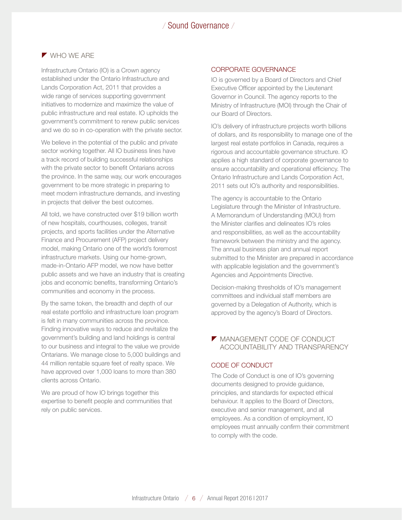# <span id="page-5-1"></span>**WHO WE ARE**

Infrastructure Ontario (IO) is a Crown agency established under the Ontario Infrastructure and Lands Corporation Act, 2011 that provides a wide range of services supporting government initiatives to modernize and maximize the value of public infrastructure and real estate. IO upholds the government's commitment to renew public services and we do so in co-operation with the private sector.

We believe in the potential of the public and private sector working together. All IO business lines have a track record of building successful relationships with the private sector to benefit Ontarians across the province. In the same way, our work encourages government to be more strategic in preparing to meet modern infrastructure demands, and investing in projects that deliver the best outcomes.

All told, we have constructed over \$19 billion worth of new hospitals, courthouses, colleges, transit projects, and sports facilities under the Alternative Finance and Procurement (AFP) project delivery model, making Ontario one of the world's foremost infrastructure markets. Using our home-grown, made-in-Ontario AFP model, we now have better public assets and we have an industry that is creating jobs and economic benefits, transforming Ontario's communities and economy in the process.

By the same token, the breadth and depth of our real estate portfolio and infrastructure loan program is felt in many communities across the province. Finding innovative ways to reduce and revitalize the government's building and land holdings is central to our business and integral to the value we provide Ontarians. We manage close to 5,000 buildings and 44 million rentable square feet of realty space. We have approved over 1,000 loans to more than 380 clients across Ontario.

We are proud of how IO brings together this expertise to benefit people and communities that rely on public services.

## <span id="page-5-0"></span>CORPORATE GOVERNANCE

IO is governed by a Board of Directors and Chief Executive Officer appointed by the Lieutenant Governor in Council. The agency reports to the Ministry of Infrastructure (MOI) through the Chair of our Board of Directors.

IO's delivery of infrastructure projects worth billions of dollars, and its responsibility to manage one of the largest real estate portfolios in Canada, requires a rigorous and accountable governance structure. IO applies a high standard of corporate governance to ensure accountability and operational efficiency. The Ontario Infrastructure and Lands Corporation Act, 2011 sets out IO's authority and responsibilities.

The agency is accountable to the Ontario Legislature through the Minister of Infrastructure. A Memorandum of Understanding (MOU) from the Minister clarifies and delineates IO's roles and responsibilities, as well as the accountability framework between the ministry and the agency. The annual business plan and annual report submitted to the Minister are prepared in accordance with applicable legislation and the government's Agencies and Appointments Directive.

Decision-making thresholds of IO's management committees and individual staff members are governed by a Delegation of Authority, which is approved by the agency's Board of Directors.

# <span id="page-5-2"></span>**MANAGEMENT CODE OF CONDUCT** ACCOUNTABILITY AND TRANSPARENCY

## CODE OF CONDUCT

The Code of Conduct is one of IO's governing documents designed to provide guidance, principles, and standards for expected ethical behaviour. It applies to the Board of Directors, executive and senior management, and all employees. As a condition of employment, IO employees must annually confirm their commitment to comply with the code.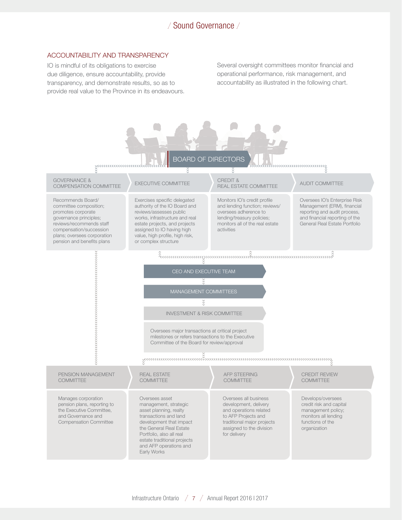# Sound Governance

## ACCOUNTABILITY AND TRANSPARENCY

IO is mindful of its obligations to exercise due diligence, ensure accountability, provide transparency, and demonstrate results, so as to provide real value to the Province in its endeavours. Several oversight committees monitor financial and operational performance, risk management, and accountability as illustrated in the following chart.

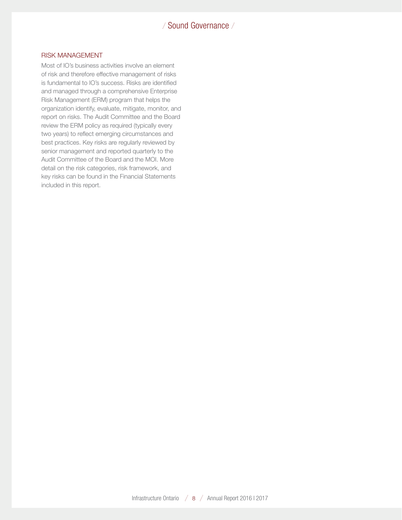

## RISK MANAGEMENT

Most of IO's business activities involve an element of risk and therefore effective management of risks is fundamental to IO's success. Risks are identified and managed through a comprehensive Enterprise Risk Management (ERM) program that helps the organization identify, evaluate, mitigate, monitor, and report on risks. The Audit Committee and the Board review the ERM policy as required (typically every two years) to reflect emerging circumstances and best practices. Key risks are regularly reviewed by senior management and reported quarterly to the Audit Committee of the Board and the MOI. More detail on the risk categories, risk framework, and key risks can be found in the Financial Statements included in this report.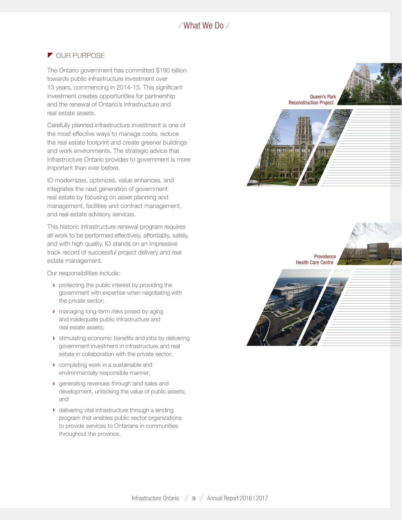# <span id="page-8-1"></span>**7 OUR PURPOSE**

The Ontario government has committed \$190 billion towards public infrastructure investment over 13 years, commencing in 2014-15. This significant investment creates opportunities for partnership and the renewal of Ontario's infrastructure and real estate assets.

Carefully planned infrastructure investment is one of the most effective ways to manage costs, reduce the real estate footprint and create greener buildings and work environments. The strategic advice that Infrastructure Ontario provides to government is more important than ever before.

IO modernizes, optimizes, value enhances, and integrates the next generation of government real estate by focusing on asset planning and management, facilities and contract management, and real estate advisory services.

This historic infrastructure renewal program requires all work to be performed effectively, affordably, safely, and with high quality. IO stands on an impressive track record of successful project delivery and real estate management.

Our responsibilities include:

- protecting the public interest by providing the government with expertise when negotiating with the private sector;
- **Indianally managing long-term risks posed by aging** and inadequate public infrastructure and real estate assets;
- **s** stimulating economic benefits and jobs by delivering government investment in infrastructure and real estate in collaboration with the private sector;
- **completing work in a sustainable and** environmentally responsible manner;
- **I** generating revenues through land sales and development, unlocking the value of public assets; and
- **I** delivering vital infrastructure through a lending program that enables public sector organizations to provide services to Ontarians in communities throughout the province.

<span id="page-8-0"></span>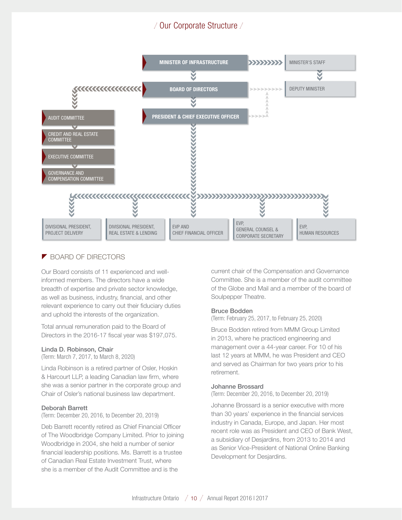# <span id="page-9-1"></span><span id="page-9-0"></span>/ Our Corporate Structure /



# BOARD OF DIRECTORS

Our Board consists of 11 experienced and wellinformed members. The directors have a wide breadth of expertise and private sector knowledge, as well as business, industry, financial, and other relevant experience to carry out their fiduciary duties and uphold the interests of the organization.

Total annual remuneration paid to the Board of Directors in the 2016-17 fiscal year was \$197,075.

## Linda D. Robinson, Chair

(Term: March 7, 2017, to March 8, 2020)

Linda Robinson is a retired partner of Osler, Hoskin & Harcourt LLP, a leading Canadian law firm, where she was a senior partner in the corporate group and Chair of Osler's national business law department.

#### Deborah Barrett

(Term: December 20, 2016, to December 20, 2019)

Deb Barrett recently retired as Chief Financial Officer of The Woodbridge Company Limited. Prior to joining Woodbridge in 2004, she held a number of senior financial leadership positions. Ms. Barrett is a trustee of Canadian Real Estate Investment Trust, where she is a member of the Audit Committee and is the

current chair of the Compensation and Governance Committee. She is a member of the audit committee of the Globe and Mail and a member of the board of Soulpepper Theatre.

#### Bruce Bodden

(Term: February 25, 2017, to February 25, 2020)

Bruce Bodden retired from MMM Group Limited in 2013, where he practiced engineering and management over a 44-year career. For 10 of his last 12 years at MMM, he was President and CEO and served as Chairman for two years prior to his retirement.

#### Johanne Brossard

(Term: December 20, 2016, to December 20, 2019)

Johanne Brossard is a senior executive with more than 30 years' experience in the financial services industry in Canada, Europe, and Japan. Her most recent role was as President and CEO of Bank West, a subsidiary of Desjardins, from 2013 to 2014 and as Senior Vice-President of National Online Banking Development for Desjardins.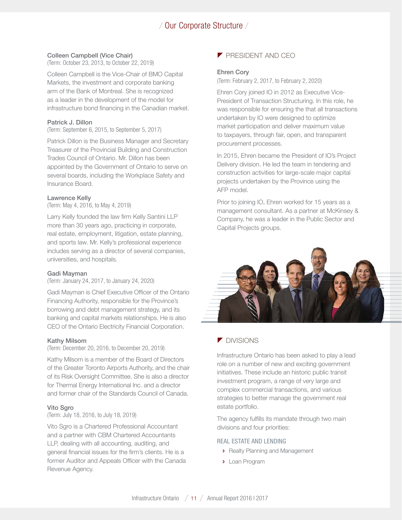# Our Corporate Structure

## Colleen Campbell (Vice Chair)

(Term: October 23, 2013, to October 22, 2019)

Colleen Campbell is the Vice-Chair of BMO Capital Markets, the investment and corporate banking arm of the Bank of Montreal. She is recognized as a leader in the development of the model for infrastructure bond financing in the Canadian market.

### Patrick J. Dillon

(Term: September 6, 2015, to September 5, 2017)

Patrick Dillon is the Business Manager and Secretary Treasurer of the Provincial Building and Construction Trades Council of Ontario. Mr. Dillon has been appointed by the Government of Ontario to serve on several boards, including the Workplace Safety and Insurance Board.

#### Lawrence Kelly

(Term: May 4, 2016, to May 4, 2019)

Larry Kelly founded the law firm Kelly Santini LLP more than 30 years ago, practicing in corporate, real estate, employment, litigation, estate planning, and sports law. Mr. Kelly's professional experience includes serving as a director of several companies, universities, and hospitals.

#### Gadi Mayman

(Term: January 24, 2017, to January 24, 2020)

Gadi Mayman is Chief Executive Officer of the Ontario Financing Authority, responsible for the Province's borrowing and debt management strategy, and its banking and capital markets relationships. He is also CEO of the Ontario Electricity Financial Corporation.

#### Kathy Milsom

(Term: December 20, 2016, to December 20, 2019)

Kathy Milsom is a member of the Board of Directors of the Greater Toronto Airports Authority, and the chair of its Risk Oversight Committee. She is also a director for Thermal Energy International Inc. and a director and former chair of the Standards Council of Canada.

#### Vito Sgro

(Term: July 18, 2016, to July 18, 2019)

Vito Sgro is a Chartered Professional Accountant and a partner with CBM Chartered Accountants LLP, dealing with all accounting, auditing, and general financial issues for the firm's clients. He is a former Auditor and Appeals Officer with the Canada Revenue Agency.

# <span id="page-10-0"></span>PRESIDENT AND CEO

#### Ehren Cory

(Term: February 2, 2017, to February 2, 2020)

Ehren Cory joined IO in 2012 as Executive Vice-President of Transaction Structuring. In this role, he was responsible for ensuring the that all transactions undertaken by IO were designed to optimize market participation and deliver maximum value to taxpayers, through fair, open, and transparent procurement processes.

In 2015, Ehren became the President of IO's Project Delivery division. He led the team in tendering and construction activities for large-scale major capital projects undertaken by the Province using the AFP model.

Prior to joining IO, Ehren worked for 15 years as a management consultant. As a partner at McKinsey & Company, he was a leader in the Public Sector and Capital Projects groups.



# <span id="page-10-1"></span>**7 DIVISIONS**

Infrastructure Ontario has been asked to play a lead role on a number of new and exciting government initiatives. These include an historic public transit investment program, a range of very large and complex commercial transactions, and various strategies to better manage the government real estate portfolio.

The agency fulfills its mandate through two main divisions and four priorities:

#### REAL ESTATE AND LENDING

- **Realty Planning and Management**
- **Loan Program**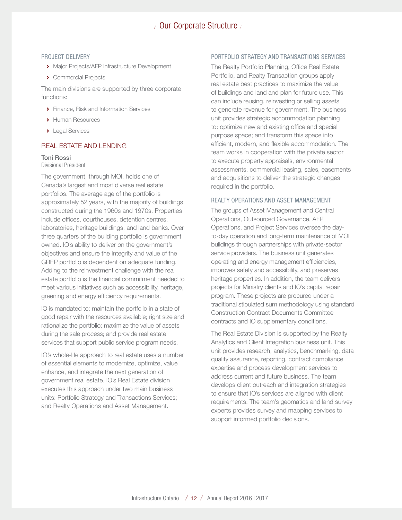# / Our Corporate Structure /

#### PROJECT DELIVERY

- **Major Projects/AFP Infrastructure Development**
- **Commercial Projects**

The main divisions are supported by three corporate functions:

- **Finance, Risk and Information Services**
- **Human Resources**
- **Legal Services**

# REAL ESTATE AND LENDING

#### Toni Rossi

Divisional President

The government, through MOI, holds one of Canada's largest and most diverse real estate portfolios. The average age of the portfolio is approximately 52 years, with the majority of buildings constructed during the 1960s and 1970s. Properties include offices, courthouses, detention centres, laboratories, heritage buildings, and land banks. Over three quarters of the building portfolio is government owned. IO's ability to deliver on the government's objectives and ensure the integrity and value of the GREP portfolio is dependent on adequate funding. Adding to the reinvestment challenge with the real estate portfolio is the financial commitment needed to meet various initiatives such as accessibility, heritage, greening and energy efficiency requirements.

IO is mandated to: maintain the portfolio in a state of good repair with the resources available; right size and rationalize the portfolio; maximize the value of assets during the sale process; and provide real estate services that support public service program needs.

IO's whole-life approach to real estate uses a number of essential elements to modernize, optimize, value enhance, and integrate the next generation of government real estate. IO's Real Estate division executes this approach under two main business units: Portfolio Strategy and Transactions Services; and Realty Operations and Asset Management.

#### PORTFOLIO STRATEGY AND TRANSACTIONS SERVICES

The Realty Portfolio Planning, Office Real Estate Portfolio, and Realty Transaction groups apply real estate best practices to maximize the value of buildings and land and plan for future use. This can include reusing, reinvesting or selling assets to generate revenue for government. The business unit provides strategic accommodation planning to: optimize new and existing office and special purpose space; and transform this space into efficient, modern, and flexible accommodation. The team works in cooperation with the private sector to execute property appraisals, environmental assessments, commercial leasing, sales, easements and acquisitions to deliver the strategic changes required in the portfolio.

## REALTY OPERATIONS AND ASSET MANAGEMENT

The groups of Asset Management and Central Operations, Outsourced Governance, AFP Operations, and Project Services oversee the dayto-day operation and long-term maintenance of MOI buildings through partnerships with private-sector service providers. The business unit generates operating and energy management efficiencies, improves safety and accessibility, and preserves heritage properties. In addition, the team delivers projects for Ministry clients and IO's capital repair program. These projects are procured under a traditional stipulated sum methodology using standard Construction Contract Documents Committee contracts and IO supplementary conditions.

The Real Estate Division is supported by the Realty Analytics and Client Integration business unit. This unit provides research, analytics, benchmarking, data quality assurance, reporting, contract compliance expertise and process development services to address current and future business. The team develops client outreach and integration strategies to ensure that IO's services are aligned with client requirements. The team's geomatics and land survey experts provides survey and mapping services to support informed portfolio decisions.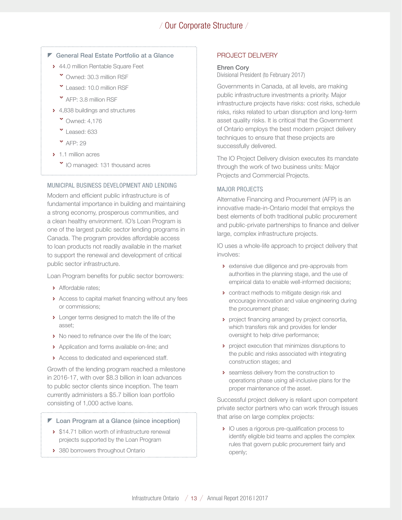# Our Corporate Structure

## ▼ General Real Estate Portfolio at a Glance

- 14.0 million Rentable Square Feet
	- Owned: 30.3 million RSF
	- **V** Leased: 10.0 million RSF
	- AFP: 3.8 million RSF
- ◆ 4,838 buildings and structures
	- $^{\circ}$  Owned: 4,176
	- Leased: 633
	- $\mathbf{\mathsf{Z}}$  AFP: 29
- 1.1 million acres
	- V IO managed: 131 thousand acres

# MUNICIPAL BUSINESS DEVELOPMENT AND LENDING

Modern and efficient public infrastructure is of fundamental importance in building and maintaining a strong economy, prosperous communities, and a clean healthy environment. IO's Loan Program is one of the largest public sector lending programs in Canada. The program provides affordable access to loan products not readily available in the market to support the renewal and development of critical public sector infrastructure.

Loan Program benefits for public sector borrowers:

- > Affordable rates;
- Access to capital market financing without any fees or commissions;
- **Longer terms designed to match the life of the** asset;
- **No need to refinance over the life of the loan;**
- **Application and forms available on-line; and**
- Access to dedicated and experienced staff.

Growth of the lending program reached a milestone in 2016-17, with over \$8.3 billion in loan advances to public sector clients since inception. The team currently administers a \$5.7 billion loan portfolio consisting of 1,000 active loans.

#### **Loan Program at a Glance (since inception)**

- \$14.71 billion worth of infrastructure renewal projects supported by the Loan Program
- 380 borrowers throughout Ontario

## PROJECT DELIVERY

#### Ehren Cory

Divisional President (to February 2017)

Governments in Canada, at all levels, are making public infrastructure investments a priority. Major infrastructure projects have risks: cost risks, schedule risks, risks related to urban disruption and long-term asset quality risks. It is critical that the Government of Ontario employs the best modern project delivery techniques to ensure that these projects are successfully delivered.

The IO Project Delivery division executes its mandate through the work of two business units: Major Projects and Commercial Projects.

## MAJOR PROJECTS

Alternative Financing and Procurement (AFP) is an innovative made-in-Ontario model that employs the best elements of both traditional public procurement and public-private partnerships to finance and deliver large, complex infrastructure projects.

IO uses a whole-life approach to project delivery that involves:

- **EXTENS** extensive due diligence and pre-approvals from authorities in the planning stage, and the use of empirical data to enable well-informed decisions;
- **contract methods to mitigate design risk and** encourage innovation and value engineering during the procurement phase;
- project financing arranged by project consortia, which transfers risk and provides for lender oversight to help drive performance;
- project execution that minimizes disruptions to the public and risks associated with integrating construction stages; and
- seamless delivery from the construction to operations phase using all-inclusive plans for the proper maintenance of the asset.

Successful project delivery is reliant upon competent private sector partners who can work through issues that arise on large complex projects:

IO uses a rigorous pre-qualification process to identify eligible bid teams and applies the complex rules that govern public procurement fairly and openly;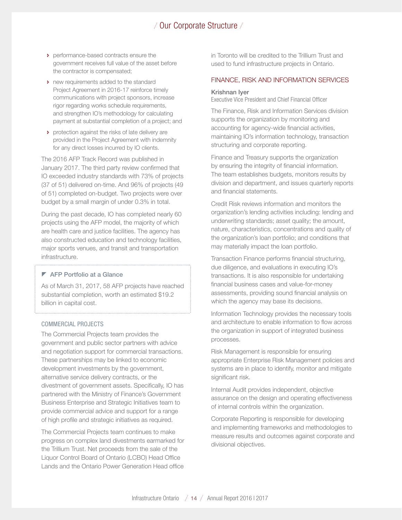# / Our Corporate Structure /

- performance-based contracts ensure the government receives full value of the asset before the contractor is compensated;
- **P** new requirements added to the standard Project Agreement in 2016-17 reinforce timely communications with project sponsors, increase rigor regarding works schedule requirements, and strengthen IO's methodology for calculating payment at substantial completion of a project; and
- **perometer or against the risks of late delivery are** provided in the Project Agreement with indemnity for any direct losses incurred by IO clients.

The 2016 AFP Track Record was published in January 2017. The third party review confirmed that IO exceeded industry standards with 73% of projects (37 of 51) delivered on-time. And 96% of projects (49 of 51) completed on-budget. Two projects were over budget by a small margin of under 0.3% in total.

During the past decade, IO has completed nearly 60 projects using the AFP model, the majority of which are health care and justice facilities. The agency has also constructed education and technology facilities, major sports venues, and transit and transportation infrastructure.

#### **F** AFP Portfolio at a Glance

As of March 31, 2017, 58 AFP projects have reached substantial completion, worth an estimated \$19.2 billion in capital cost.

#### COMMERCIAL PROJECTS

The Commercial Projects team provides the government and public sector partners with advice and negotiation support for commercial transactions. These partnerships may be linked to economic development investments by the government, alternative service delivery contracts, or the divestment of government assets. Specifically, IO has partnered with the Ministry of Finance's Government Business Enterprise and Strategic Initiatives team to provide commercial advice and support for a range of high profile and strategic initiatives as required.

The Commercial Projects team continues to make progress on complex land divestments earmarked for the Trillium Trust. Net proceeds from the sale of the Liquor Control Board of Ontario (LCBO) Head Office Lands and the Ontario Power Generation Head office

in Toronto will be credited to the Trillium Trust and used to fund infrastructure projects in Ontario.

## FINANCE, RISK AND INFORMATION SERVICES

#### Krishnan Iyer

Executive Vice President and Chief Financial Officer

The Finance, Risk and Information Services division supports the organization by monitoring and accounting for agency-wide financial activities, maintaining IO's information technology, transaction structuring and corporate reporting.

Finance and Treasury supports the organization by ensuring the integrity of financial information. The team establishes budgets, monitors results by division and department, and issues quarterly reports and financial statements.

Credit Risk reviews information and monitors the organization's lending activities including: lending and underwriting standards; asset quality; the amount, nature, characteristics, concentrations and quality of the organization's loan portfolio; and conditions that may materially impact the loan portfolio.

Transaction Finance performs financial structuring, due diligence, and evaluations in executing IO's transactions. It is also responsible for undertaking financial business cases and value-for-money assessments, providing sound financial analysis on which the agency may base its decisions.

Information Technology provides the necessary tools and architecture to enable information to flow across the organization in support of integrated business processes.

Risk Management is responsible for ensuring appropriate Enterprise Risk Management policies and systems are in place to identify, monitor and mitigate significant risk.

Internal Audit provides independent, objective assurance on the design and operating effectiveness of internal controls within the organization.

Corporate Reporting is responsible for developing and implementing frameworks and methodologies to measure results and outcomes against corporate and divisional objectives.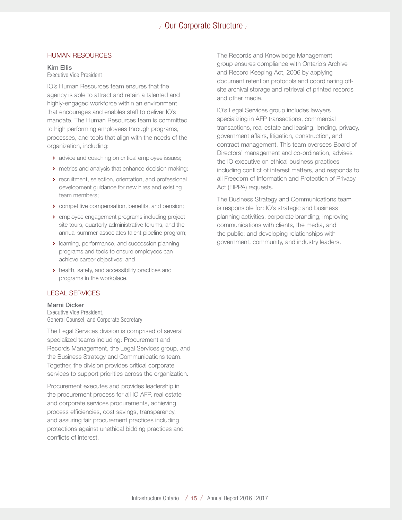# / Our Corporate Structure /

#### HUMAN RESOURCES

#### Kim Ellis

Executive Vice President

IO's Human Resources team ensures that the agency is able to attract and retain a talented and highly-engaged workforce within an environment that encourages and enables staff to deliver IO's mandate. The Human Resources team is committed to high performing employees through programs, processes, and tools that align with the needs of the organization, including:

- **advice and coaching on critical employee issues;**
- metrics and analysis that enhance decision making;
- **P** recruitment, selection, orientation, and professional development guidance for new hires and existing team members;
- **competitive compensation, benefits, and pension;**
- **P** employee engagement programs including project site tours, quarterly administrative forums, and the annual summer associates talent pipeline program;
- **I** learning, performance, and succession planning programs and tools to ensure employees can achieve career objectives; and
- **health, safety, and accessibility practices and** programs in the workplace.

## LEGAL SERVICES

#### Marni Dicker

Executive Vice President, General Counsel, and Corporate Secretary

The Legal Services division is comprised of several specialized teams including: Procurement and Records Management, the Legal Services group, and the Business Strategy and Communications team. Together, the division provides critical corporate services to support priorities across the organization.

Procurement executes and provides leadership in the procurement process for all IO AFP, real estate and corporate services procurements, achieving process efficiencies, cost savings, transparency, and assuring fair procurement practices including protections against unethical bidding practices and conflicts of interest.

The Records and Knowledge Management group ensures compliance with Ontario's Archive and Record Keeping Act, 2006 by applying document retention protocols and coordinating offsite archival storage and retrieval of printed records and other media.

IO's Legal Services group includes lawyers specializing in AFP transactions, commercial transactions, real estate and leasing, lending, privacy, government affairs, litigation, construction, and contract management. This team oversees Board of Directors' management and co-ordination, advises the IO executive on ethical business practices including conflict of interest matters, and responds to all Freedom of Information and Protection of Privacy Act (FIPPA) requests.

The Business Strategy and Communications team is responsible for: IO's strategic and business planning activities; corporate branding; improving communications with clients, the media, and the public; and developing relationships with government, community, and industry leaders.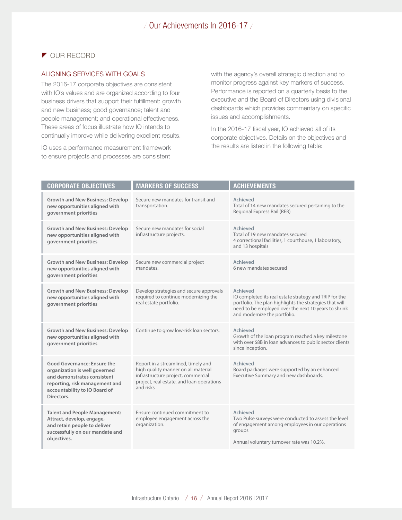# <span id="page-15-1"></span>**OUR RECORD**

# ALIGNING SERVICES WITH GOALS

The 2016-17 corporate objectives are consistent with IO's values and are organized according to four business drivers that support their fulfillment: growth and new business; good governance; talent and people management; and operational effectiveness. These areas of focus illustrate how IO intends to continually improve while delivering excellent results.

IO uses a performance measurement framework to ensure projects and processes are consistent

<span id="page-15-0"></span>with the agency's overall strategic direction and to monitor progress against key markers of success. Performance is reported on a quarterly basis to the executive and the Board of Directors using divisional dashboards which provides commentary on specific issues and accomplishments.

In the 2016-17 fiscal year, IO achieved all of its corporate objectives. Details on the objectives and the results are listed in the following table:

| <b>CORPORATE OBJECTIVES</b>                                                                                                                                                  | <b>MARKERS OF SUCCESS</b>                                                                                                                                                  | <b>ACHIEVEMENTS</b>                                                                                                                                                                                                   |
|------------------------------------------------------------------------------------------------------------------------------------------------------------------------------|----------------------------------------------------------------------------------------------------------------------------------------------------------------------------|-----------------------------------------------------------------------------------------------------------------------------------------------------------------------------------------------------------------------|
| <b>Growth and New Business: Develop</b><br>new opportunities aligned with<br>government priorities                                                                           | Secure new mandates for transit and<br>transportation.                                                                                                                     | Achieved<br>Total of 14 new mandates secured pertaining to the<br>Regional Express Rail (RER)                                                                                                                         |
| <b>Growth and New Business: Develop</b><br>new opportunities aligned with<br>government priorities                                                                           | Secure new mandates for social<br>infrastructure projects.                                                                                                                 | Achieved<br>Total of 19 new mandates secured<br>4 correctional facilities, 1 courthouse, 1 laboratory,<br>and 13 hospitals                                                                                            |
| <b>Growth and New Business: Develop</b><br>new opportunities aligned with<br>government priorities                                                                           | Secure new commercial project<br>mandates.                                                                                                                                 | Achieved<br>6 new mandates secured                                                                                                                                                                                    |
| <b>Growth and New Business: Develop</b><br>new opportunities aligned with<br>government priorities                                                                           | Develop strategies and secure approvals<br>required to continue modernizing the<br>real estate portfolio.                                                                  | Achieved<br>IO completed its real estate strategy and TRIP for the<br>portfolio. The plan highlights the strategies that will<br>need to be employed over the next 10 years to shrink<br>and modernize the portfolio. |
| <b>Growth and New Business: Develop</b><br>new opportunities aligned with<br>government priorities                                                                           | Continue to grow low-risk loan sectors.                                                                                                                                    | Achieved<br>Growth of the loan program reached a key milestone<br>with over \$8B in loan advances to public sector clients<br>since inception.                                                                        |
| Good Governance: Ensure the<br>organization is well governed<br>and demonstrates consistent<br>reporting, risk management and<br>accountability to IO Board of<br>Directors. | Report in a streamlined, timely and<br>high quality manner on all material<br>infrastructure project, commercial<br>project, real estate, and loan operations<br>and risks | Achieved<br>Board packages were supported by an enhanced<br>Executive Summary and new dashboards.                                                                                                                     |
| <b>Talent and People Management:</b><br>Attract, develop, engage,<br>and retain people to deliver<br>successfully on our mandate and<br>objectives.                          | Ensure continued commitment to<br>employee engagement across the<br>organization.                                                                                          | Achieved<br>Two Pulse surveys were conducted to assess the level<br>of engagement among employees in our operations<br>groups<br>Annual voluntary turnover rate was 10.2%.                                            |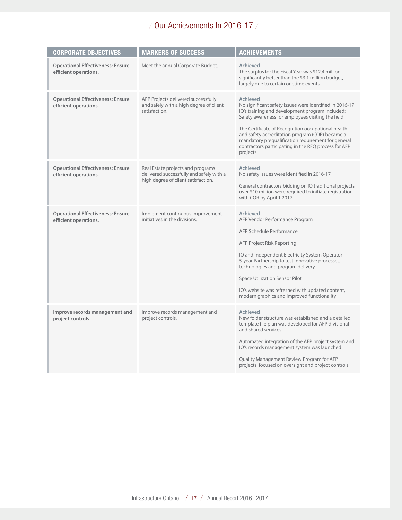# / Our Achievements In 2016-17 /

| <b>CORPORATE OBJECTIVES</b>                                       | <b>MARKERS OF SUCCESS</b>                                                                                            | <b>ACHIEVEMENTS</b>                                                                                                                                                                                                                                                                                                                                                                                                    |
|-------------------------------------------------------------------|----------------------------------------------------------------------------------------------------------------------|------------------------------------------------------------------------------------------------------------------------------------------------------------------------------------------------------------------------------------------------------------------------------------------------------------------------------------------------------------------------------------------------------------------------|
| <b>Operational Effectiveness: Ensure</b><br>efficient operations. | Meet the annual Corporate Budget.                                                                                    | Achieved<br>The surplus for the Fiscal Year was \$12.4 million,<br>significantly better than the \$3.1 million budget,<br>largely due to certain onetime events.                                                                                                                                                                                                                                                       |
| <b>Operational Effectiveness: Ensure</b><br>efficient operations. | AFP Projects delivered successfully<br>and safely with a high degree of client<br>satisfaction.                      | <b>Achieved</b><br>No significant safety issues were identified in 2016-17<br>IO's training and development program included:<br>Safety awareness for employees visiting the field<br>The Certificate of Recognition occupational health<br>and safety accreditation program (COR) became a<br>mandatory prequalification requirement for general<br>contractors participating in the RFQ process for AFP<br>projects. |
| <b>Operational Effectiveness: Ensure</b><br>efficient operations. | Real Estate projects and programs<br>delivered successfully and safely with a<br>high degree of client satisfaction. | Achieved<br>No safety issues were identified in 2016-17<br>General contractors bidding on IO traditional projects<br>over \$10 million were required to initiate registration<br>with COR by April 1 2017                                                                                                                                                                                                              |
| <b>Operational Effectiveness: Ensure</b><br>efficient operations. | Implement continuous improvement<br>initiatives in the divisions.                                                    | Achieved<br>AFP Vendor Performance Program<br>AFP Schedule Performance<br>AFP Project Risk Reporting<br>IO and Independent Electricity System Operator<br>5-year Partnership to test innovative processes,<br>technologies and program delivery<br><b>Space Utilization Sensor Pilot</b><br>IO's website was refreshed with updated content,<br>modern graphics and improved functionality                             |
| Improve records management and<br>project controls.               | Improve records management and<br>project controls.                                                                  | Achieved<br>New folder structure was established and a detailed<br>template file plan was developed for AFP divisional<br>and shared services<br>Automated integration of the AFP project system and<br>IO's records management system was launched<br>Quality Management Review Program for AFP<br>projects, focused on oversight and project controls                                                                |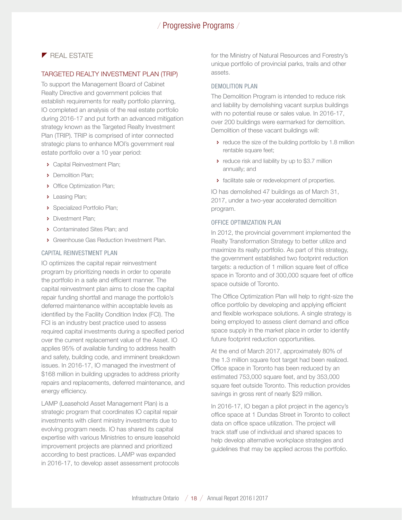# <span id="page-17-1"></span>**PEAL ESTATE**

# <span id="page-17-2"></span>TARGETED REALTY INVESTMENT PLAN (TRIP)

To support the Management Board of Cabinet Realty Directive and government policies that establish requirements for realty portfolio planning, IO completed an analysis of the real estate portfolio during 2016-17 and put forth an advanced mitigation strategy known as the Targeted Realty Investment Plan (TRIP). TRIP is comprised of inter connected strategic plans to enhance MOI's government real estate portfolio over a 10 year period:

- **Capital Reinvestment Plan;**
- **Demolition Plan;**
- **Office Optimization Plan;**
- **Leasing Plan;**
- Specialized Portfolio Plan;
- Divestment Plan;
- **Contaminated Sites Plan; and**
- **Greenhouse Gas Reduction Investment Plan.**

## CAPITAL REINVESTMENT PLAN

IO optimizes the capital repair reinvestment program by prioritizing needs in order to operate the portfolio in a safe and efficient manner. The capital reinvestment plan aims to close the capital repair funding shortfall and manage the portfolio's deferred maintenance within acceptable levels as identified by the Facility Condition Index (FCI). The FCI is an industry best practice used to assess required capital investments during a specified period over the current replacement value of the Asset. IO applies 95% of available funding to address health and safety, building code, and imminent breakdown issues. In 2016-17, IO managed the investment of \$168 million in building upgrades to address priority repairs and replacements, deferred maintenance, and energy efficiency.

LAMP (Leasehold Asset Management Plan) is a strategic program that coordinates IO capital repair investments with client ministry investments due to evolving program needs. IO has shared its capital expertise with various Ministries to ensure leasehold improvement projects are planned and prioritized according to best practices. LAMP was expanded in 2016-17, to develop asset assessment protocols

<span id="page-17-0"></span>for the Ministry of Natural Resources and Forestry's unique portfolio of provincial parks, trails and other assets.

## DEMOLITION PLAN

The Demolition Program is intended to reduce risk and liability by demolishing vacant surplus buildings with no potential reuse or sales value. In 2016-17, over 200 buildings were earmarked for demolition. Demolition of these vacant buildings will:

- reduce the size of the building portfolio by 1.8 million rentable square feet;
- **P** reduce risk and liability by up to \$3.7 million annually; and
- **I** facilitate sale or redevelopment of properties.

IO has demolished 47 buildings as of March 31, 2017, under a two-year accelerated demolition program.

## OFFICE OPTIMIZATION PLAN

In 2012, the provincial government implemented the Realty Transformation Strategy to better utilize and maximize its realty portfolio. As part of this strategy, the government established two footprint reduction targets: a reduction of 1 million square feet of office space in Toronto and of 300,000 square feet of office space outside of Toronto.

The Office Optimization Plan will help to right-size the office portfolio by developing and applying efficient and flexible workspace solutions. A single strategy is being employed to assess client demand and office space supply in the market place in order to identify future footprint reduction opportunities.

At the end of March 2017, approximately 80% of the 1.3 million square foot target had been realized. Office space in Toronto has been reduced by an estimated 753,000 square feet, and by 353,000 square feet outside Toronto. This reduction provides savings in gross rent of nearly \$29 million.

In 2016-17, IO began a pilot project in the agency's office space at 1 Dundas Street in Toronto to collect data on office space utilization. The project will track staff use of individual and shared spaces to help develop alternative workplace strategies and guidelines that may be applied across the portfolio.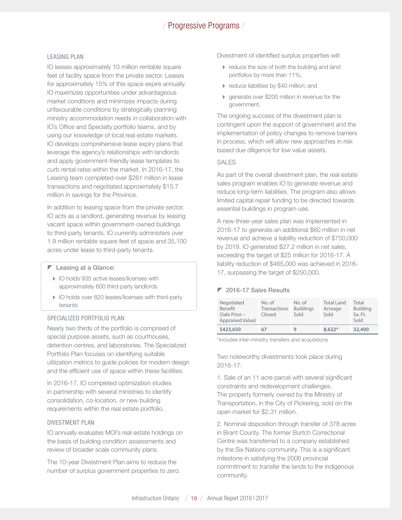# $\angle$  Progressive Programs  $\angle$

#### LEASING PLAN

IO leases approximately 10 million rentable square feet of facility space from the private sector. Leases for approximately 15% of this space expire annually. IO maximizes opportunities under advantageous market conditions and minimizes impacts during unfavourable conditions by strategically planning ministry accommodation needs in collaboration with IO's Office and Specialty portfolio teams, and by using our knowledge of local real estate markets. IO develops comprehensive lease expiry plans that leverage the agency's relationships with landlords and apply government-friendly lease templates to curb rental rates within the market. In 2016-17, the Leasing team completed over \$261 million in lease transactions and negotiated approximately \$15.7 million in savings for the Province.

In addition to leasing space from the private sector, IO acts as a landlord, generating revenue by leasing vacant space within government-owned buildings to third-party tenants. IO currently administers over 1.9 million rentable square feet of space and 35,100 acres under lease to third-party tenants.

#### E Leasing at a Glance:

- **IO holds 935 active leases/licenses with** approximately 600 third-party landlords
- IO holds over 820 leases/licenses with third-party tenants

#### SPECIALIZED PORTFOLIO PLAN

Nearly two thirds of the portfolio is comprised of special purpose assets, such as courthouses, detention centres, and laboratories. The Specialized Portfolio Plan focuses on identifying suitable utilization metrics to guide policies for modern design and the efficient use of space within these facilities.

In 2016-17, IO completed optimization studies in partnership with several ministries to identify consolidation, co-location, or new building requirements within the real estate portfolio.

## DIVESTMENT PLAN

IO annually evaluates MOI's real estate holdings on the basis of building condition assessments and review of broader scale community plans.

The 10-year Divestment Plan aims to reduce the number of surplus government properties to zero. Divestment of identified surplus properties will:

- **•** reduce the size of both the building and land portfolios by more than 11%;
- **P** reduce liabilities by \$40 million; and
- generate over \$200 million in revenue for the government.

The ongoing success of the divestment plan is contingent upon the support of government and the implementation of policy changes to remove barriers in process, which will allow new approaches in risk based due diligence for low value assets.

### SALES

As part of the overall divestment plan, the real estate sales program enables IO to generate revenue and reduce long-term liabilities. The program also allows limited capital repair funding to be directed towards essential buildings in program use.

A new three-year sales plan was implemented in 2016-17 to generate an additional \$60 million in net revenue and achieve a liability reduction of \$750,000 by 2019. IO generated \$27.2 million in net sales, exceeding the target of \$25 million for 2016-17. A liability reduction of \$465,000 was achieved in 2016- 17, surpassing the target of \$250,000.

#### ■ 2016-17 Sales Results

| Negotiated<br>Benefit<br>$(Sale Price -$<br>Appraised Value) | No. of<br>Transactions<br>Closed | No. of<br><b>Buildings</b><br>Sold | <b>Total Land</b><br>Acreage<br>Sold | Total<br><b>Building</b><br>Sa. Ft.<br>Sold |
|--------------------------------------------------------------|----------------------------------|------------------------------------|--------------------------------------|---------------------------------------------|
| \$423,650                                                    | 67                               | 9                                  | $8.622*$                             | 32,400                                      |

\*includes inter-ministry transfers and acquisitions

Two noteworthy divestments took place during 2016-17:

1. Sale of an 11 acre parcel with several significant constraints and redevelopment challenges. The property formerly owned by the Ministry of Transportation, in the City of Pickering, sold on the open market for \$2.31 million.

2. Nominal disposition through transfer of 378 acres in Brant County. The former Burtch Correctional Centre was transferred to a company established by the Six Nations community. This is a significant milestone in satisfying the 2006 provincial commitment to transfer the lands to the indigenous community.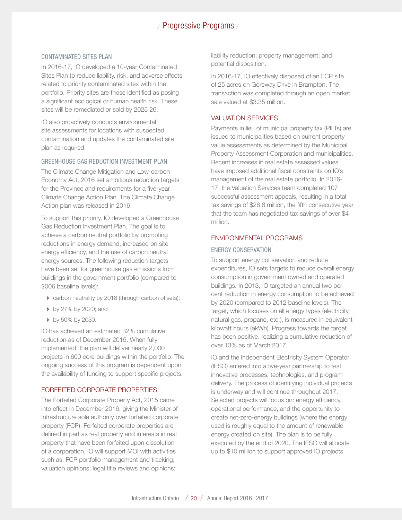## CONTAMINATED SITES PLAN

In 2016-17, IO developed a 10-year Contaminated Sites Plan to reduce liability, risk, and adverse effects related to priority contaminated sites within the portfolio. Priority sites are those identified as posing a significant ecological or human health risk. These sites will be remediated or sold by 2025 26.

IO also proactively conducts environmental site assessments for locations with suspected contamination and updates the contaminated site plan as required.

### GREENHOUSE GAS REDUCTION INVESTMENT PLAN

The Climate Change Mitigation and Low-carbon Economy Act, 2016 set ambitious reduction targets for the Province and requirements for a five-year Climate Change Action Plan. The Climate Change Action plan was released in 2016.

To support this priority, IO developed a Greenhouse Gas Reduction Investment Plan. The goal is to achieve a carbon neutral portfolio by promoting reductions in energy demand, increased on site energy efficiency, and the use of carbon neutral energy sources. The following reduction targets have been set for greenhouse gas emissions from buildings in the government portfolio (compared to 2006 baseline levels):

- **carbon neutrality by 2018 (through carbon offsets);**
- by 27% by 2020; and
- by 50% by 2030.

IO has achieved an estimated 32% cumulative reduction as of December 2015. When fully implemented, the plan will deliver nearly 2,000 projects in 600 core buildings within the portfolio. The ongoing success of this program is dependent upon the availability of funding to support specific projects.

## <span id="page-19-0"></span>FORFEITED CORPORATE PROPERTIES

The Forfeited Corporate Property Act, 2015 came into effect in December 2016, giving the Minister of Infrastructure sole authority over forfeited corporate property (FCP). Forfeited corporate properties are defined in part as real property and interests in real property that have been forfeited upon dissolution of a corporation. IO will support MOI with activities such as: FCP portfolio management and tracking; valuation opinions; legal title reviews and opinions;

liability reduction; property management; and potential disposition.

In 2016-17, IO effectively disposed of an FCP site of 25 acres on Goreway Drive in Brampton. The transaction was completed through an open market sale valued at \$3.35 million.

# <span id="page-19-1"></span>VALUATION SERVICES

Payments in lieu of municipal property tax (PILTs) are issued to municipalities based on current property value assessments as determined by the Municipal Property Assessment Corporation and municipalities. Recent increases in real estate assessed values have imposed additional fiscal constraints on IO's management of the real estate portfolio. In 2016- 17, the Valuation Services team completed 107 successful assessment appeals, resulting in a total tax savings of \$26.8 million, the fifth consecutive year that the team has negotiated tax savings of over \$4 million.

## <span id="page-19-2"></span>ENVIRONMENTAL PROGRAMS

### ENERGY CONSERVATION

To support energy conservation and reduce expenditures, IO sets targets to reduce overall energy consumption in government owned and operated buildings. In 2013, IO targeted an annual two per cent reduction in energy consumption to be achieved by 2020 (compared to 2012 baseline levels). The target, which focuses on all energy types (electricity, natural gas, propane, etc.), is measured in equivalent kilowatt hours (ekWh). Progress towards the target has been positive, realizing a cumulative reduction of over 13% as of March 2017.

IO and the Independent Electricity System Operator (IESO) entered into a five-year partnership to test innovative processes, technologies, and program delivery. The process of identifying individual projects is underway and will continue throughout 2017. Selected projects will focus on: energy efficiency, operational performance, and the opportunity to create net-zero-energy buildings (where the energy used is roughly equal to the amount of renewable energy created on site). The plan is to be fully executed by the end of 2020. The IESO will allocate up to \$10 million to support approved IO projects.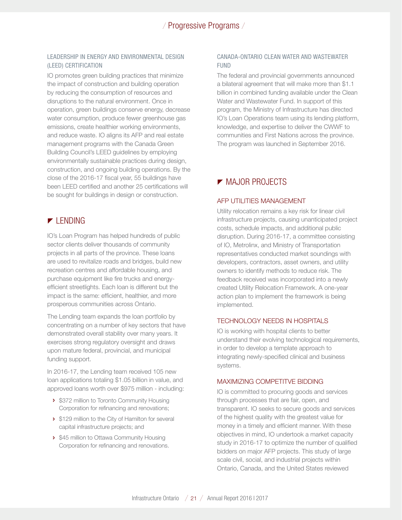# LEADERSHIP IN ENERGY AND ENVIRONMENTAL DESIGN (LEED) CERTIFICATION

IO promotes green building practices that minimize the impact of construction and building operation by reducing the consumption of resources and disruptions to the natural environment. Once in operation, green buildings conserve energy, decrease water consumption, produce fewer greenhouse gas emissions, create healthier working environments, and reduce waste. IO aligns its AFP and real estate management programs with the Canada Green Building Council's LEED guidelines by employing environmentally sustainable practices during design, construction, and ongoing building operations. By the close of the 2016-17 fiscal year, 55 buildings have been LEED certified and another 25 certifications will be sought for buildings in design or construction.

# <span id="page-20-0"></span>**ELENDING**

IO's Loan Program has helped hundreds of public sector clients deliver thousands of community projects in all parts of the province. These loans are used to revitalize roads and bridges, build new recreation centres and affordable housing, and purchase equipment like fire trucks and energyefficient streetlights. Each loan is different but the impact is the same: efficient, healthier, and more prosperous communities across Ontario.

The Lending team expands the loan portfolio by concentrating on a number of key sectors that have demonstrated overall stability over many years. It exercises strong regulatory oversight and draws upon mature federal, provincial, and municipal funding support.

In 2016-17, the Lending team received 105 new loan applications totaling \$1.05 billion in value, and approved loans worth over \$975 million - including:

- \$372 million to Toronto Community Housing Corporation for refinancing and renovations;
- \$129 million to the City of Hamilton for several capital infrastructure projects; and
- \$45 million to Ottawa Community Housing Corporation for refinancing and renovations.

# CANADA-ONTARIO CLEAN WATER AND WASTEWATER FUND

The federal and provincial governments announced a bilateral agreement that will make more than \$1.1 billion in combined funding available under the Clean Water and Wastewater Fund. In support of this program, the Ministry of Infrastructure has directed IO's Loan Operations team using its lending platform, knowledge, and expertise to deliver the CWWF to communities and First Nations across the province. The program was launched in September 2016.

# <span id="page-20-1"></span>**MAJOR PROJECTS**

# <span id="page-20-2"></span>AFP UTILITIES MANAGEMENT

Utility relocation remains a key risk for linear civil infrastructure projects, causing unanticipated project costs, schedule impacts, and additional public disruption. During 2016-17, a committee consisting of IO, Metrolinx, and Ministry of Transportation representatives conducted market soundings with developers, contractors, asset owners, and utility owners to identify methods to reduce risk. The feedback received was incorporated into a newly created Utility Relocation Framework. A one-year action plan to implement the framework is being implemented.

# <span id="page-20-3"></span>TECHNOLOGY NEEDS IN HOSPITALS

IO is working with hospital clients to better understand their evolving technological requirements, in order to develop a template approach to integrating newly-specified clinical and business systems.

# <span id="page-20-4"></span>MAXIMIZING COMPETITVE BIDDING

IO is committed to procuring goods and services through processes that are fair, open, and transparent. IO seeks to secure goods and services of the highest quality with the greatest value for money in a timely and efficient manner. With these objectives in mind, IO undertook a market capacity study in 2016-17 to optimize the number of qualified bidders on major AFP projects. This study of large scale civil, social, and industrial projects within Ontario, Canada, and the United States reviewed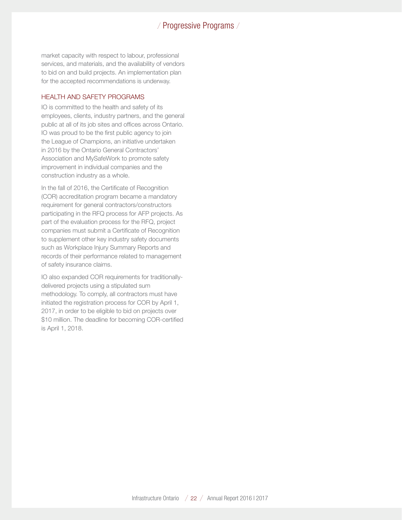market capacity with respect to labour, professional services, and materials, and the availability of vendors to bid on and build projects. An implementation plan for the accepted recommendations is underway.

# <span id="page-21-0"></span>HEALTH AND SAFETY PROGRAMS

IO is committed to the health and safety of its employees, clients, industry partners, and the general public at all of its job sites and offices across Ontario. IO was proud to be the first public agency to join the League of Champions, an initiative undertaken in 2016 by the Ontario General Contractors' Association and MySafeWork to promote safety improvement in individual companies and the construction industry as a whole.

In the fall of 2016, the Certificate of Recognition (COR) accreditation program became a mandatory requirement for general contractors/constructors participating in the RFQ process for AFP projects. As part of the evaluation process for the RFQ, project companies must submit a Certificate of Recognition to supplement other key industry safety documents such as Workplace Injury Summary Reports and records of their performance related to management of safety insurance claims.

IO also expanded COR requirements for traditionallydelivered projects using a stipulated sum methodology. To comply, all contractors must have initiated the registration process for COR by April 1, 2017, in order to be eligible to bid on projects over \$10 million. The deadline for becoming COR-certified is April 1, 2018.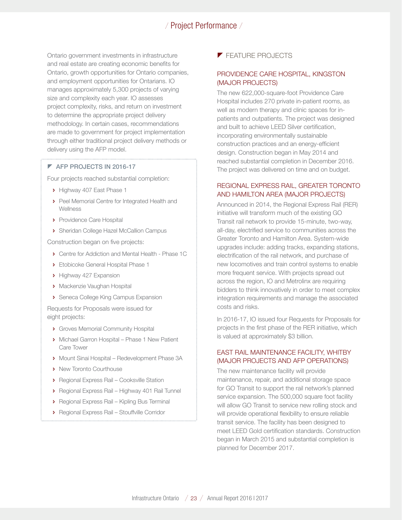# <span id="page-22-0"></span>Project Performance

Ontario government investments in infrastructure and real estate are creating economic benefits for Ontario, growth opportunities for Ontario companies, and employment opportunities for Ontarians. IO manages approximately 5,300 projects of varying size and complexity each year. IO assesses project complexity, risks, and return on investment to determine the appropriate project delivery methodology. In certain cases, recommendations are made to government for project implementation through either traditional project delivery methods or delivery using the AFP model.

#### **F** AFP PROJECTS IN 2016-17

Four projects reached substantial completion:

- Highway 407 East Phase 1
- Peel Memorial Centre for Integrated Health and **Wellness**
- **Providence Care Hospital**
- **Sheridan College Hazel McCallion Campus**

Construction began on five projects:

- **Centre for Addiction and Mental Health Phase 1C**
- **Etobicoke General Hospital Phase 1**
- Highway 427 Expansion
- **Mackenzie Vaughan Hospital**
- Seneca College King Campus Expansion

Requests for Proposals were issued for eight projects:

- **S** Groves Memorial Community Hospital
- **Michael Garron Hospital Phase 1 New Patient** Care Tower
- Mount Sinai Hospital Redevelopment Phase 3A
- **New Toronto Courthouse**
- **Regional Express Rail Cooksville Station**
- Regional Express Rail Highway 401 Rail Tunnel

- **Regional Express Rail Kipling Bus Terminal**
- **Regional Express Rail Stouffville Corridor**

# <span id="page-22-1"></span>**FEATURE PROJECTS**

# PROVIDENCE CARE HOSPITAL, KINGSTON (MAJOR PROJECTS)

The new 622,000-square-foot Providence Care Hospital includes 270 private in-patient rooms, as well as modern therapy and clinic spaces for inpatients and outpatients. The project was designed and built to achieve LEED Silver certification, incorporating environmentally sustainable construction practices and an energy-efficient design. Construction began in May 2014 and reached substantial completion in December 2016. The project was delivered on time and on budget.

## REGIONAL EXPRESS RAIL, GREATER TORONTO AND HAMILTON AREA (MAJOR PROJECTS)

Announced in 2014, the Regional Express Rail (RER) initiative will transform much of the existing GO Transit rail network to provide 15-minute, two-way, all-day, electrified service to communities across the Greater Toronto and Hamilton Area. System-wide upgrades include: adding tracks, expanding stations, electrification of the rail network, and purchase of new locomotives and train control systems to enable more frequent service. With projects spread out across the region, IO and Metrolinx are requiring bidders to think innovatively in order to meet complex integration requirements and manage the associated costs and risks.

In 2016-17, IO issued four Requests for Proposals for projects in the first phase of the RER initiative, which is valued at approximately \$3 billion.

# EAST RAIL MAINTENANCE FACILITY, WHITBY (MAJOR PROJECTS AND AFP OPERATIONS)

The new maintenance facility will provide maintenance, repair, and additional storage space for GO Transit to support the rail network's planned service expansion. The 500,000 square foot facility will allow GO Transit to service new rolling stock and will provide operational flexibility to ensure reliable transit service. The facility has been designed to meet LEED Gold certification standards. Construction began in March 2015 and substantial completion is planned for December 2017.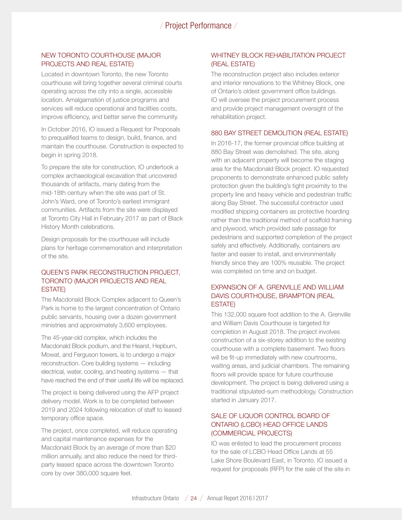# NEW TORONTO COURTHOUSE (MAJOR PROJECTS AND REAL ESTATE)

Located in downtown Toronto, the new Toronto courthouse will bring together several criminal courts operating across the city into a single, accessible location. Amalgamation of justice programs and services will reduce operational and facilities costs, improve efficiency, and better serve the community.

In October 2016, IO issued a Request for Proposals to prequalified teams to design, build, finance, and maintain the courthouse. Construction is expected to begin in spring 2018.

To prepare the site for construction, IO undertook a complex archaeological excavation that uncovered thousands of artifacts, many dating from the mid-18th century when the site was part of St. John's Ward, one of Toronto's earliest immigrant communities. Artifacts from the site were displayed at Toronto City Hall in February 2017 as part of Black History Month celebrations.

Design proposals for the courthouse will include plans for heritage commemoration and interpretation of the site.

# QUEEN'S PARK RECONSTRUCTION PROJECT, TORONTO (MAJOR PROJECTS AND REAL ESTATE)

The Macdonald Block Complex adjacent to Queen's Park is home to the largest concentration of Ontario public servants, housing over a dozen government ministries and approximately 3,600 employees.

The 45-year-old complex, which includes the Macdonald Block podium, and the Hearst, Hepburn, Mowat, and Ferguson towers, is to undergo a major reconstruction. Core building systems — including electrical, water, cooling, and heating systems — that have reached the end of their useful life will be replaced.

The project is being delivered using the AFP project delivery model. Work is to be completed between 2019 and 2024 following relocation of staff to leased temporary office space.

The project, once completed, will reduce operating and capital maintenance expenses for the Macdonald Block by an average of more than \$20 million annually, and also reduce the need for thirdparty leased space across the downtown Toronto core by over 380,000 square feet.

# WHITNEY BLOCK REHABILITATION PROJECT (REAL ESTATE)

The reconstruction project also includes exterior and interior renovations to the Whitney Block, one of Ontario's oldest government office buildings. IO will oversee the project procurement process and provide project management oversight of the rehabilitation project.

# 880 BAY STREET DEMOLITION (REAL ESTATE)

In 2016-17, the former provincial office building at 880 Bay Street was demolished. The site, along with an adjacent property will become the staging area for the Macdonald Block project. IO requested proponents to demonstrate enhanced public safety protection given the building's tight proximity to the property line and heavy vehicle and pedestrian traffic along Bay Street. The successful contractor used modified shipping containers as protective hoarding rather than the traditional method of scaffold framing and plywood, which provided safe passage for pedestrians and supported completion of the project safely and effectively. Additionally, containers are faster and easier to install, and environmentally friendly since they are 100% reusable. The project was completed on time and on budget.

# EXPANSION OF A. GRENVILLE AND WILLIAM DAVIS COURTHOUSE, BRAMPTON (REAL ESTATE)

This 132,000 square foot addition to the A. Grenville and William Davis Courthouse is targeted for completion in August 2018. The project involves construction of a six-storey addition to the existing courthouse with a complete basement. Two floors will be fit-up immediately with new courtrooms, waiting areas, and judicial chambers. The remaining floors will provide space for future courthouse development. The project is being delivered using a traditional stipulated-sum methodology. Construction started in January 2017.

# SALE OF LIQUOR CONTROL BOARD OF ONTARIO (LCBO) HEAD OFFICE LANDS (COMMERCIAL PROJECTS)

IO was enlisted to lead the procurement process for the sale of LCBO Head Office Lands at 55 Lake Shore Boulevard East, in Toronto. IO issued a request for proposals (RFP) for the sale of the site in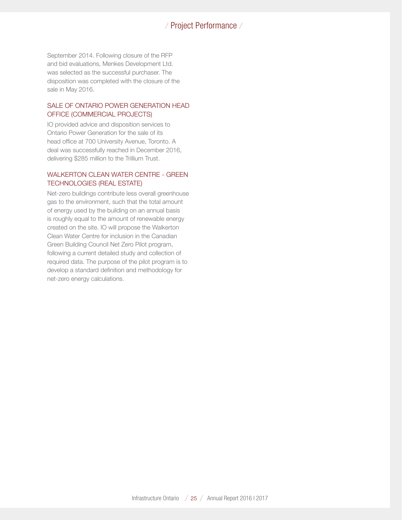# Project Performance

September 2014. Following closure of the RFP and bid evaluations, Menkes Development Ltd. was selected as the successful purchaser. The disposition was completed with the closure of the sale in May 2016.

# SALE OF ONTARIO POWER GENERATION HEAD OFFICE (COMMERCIAL PROJECTS)

IO provided advice and disposition services to Ontario Power Generation for the sale of its head office at 700 University Avenue, Toronto. A deal was successfully reached in December 2016, delivering \$285 million to the Trillium Trust.

# WALKERTON CLEAN WATER CENTRE - GREEN TECHNOLOGIES (REAL ESTATE)

Net-zero buildings contribute less overall greenhouse gas to the environment, such that the total amount of energy used by the building on an annual basis is roughly equal to the amount of renewable energy created on the site. IO will propose the Walkerton Clean Water Centre for inclusion in the Canadian Green Building Council Net Zero Pilot program, following a current detailed study and collection of required data. The purpose of the pilot program is to develop a standard definition and methodology for net-zero energy calculations.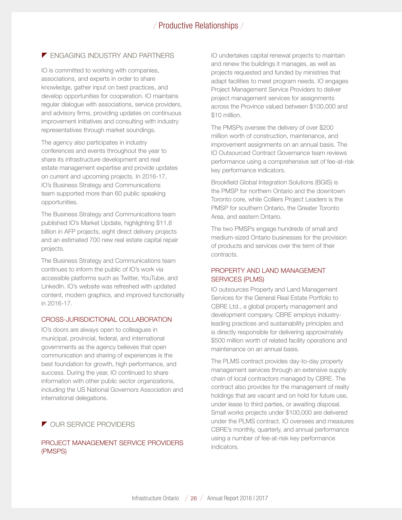# <span id="page-25-0"></span>Productive Relationships

# <span id="page-25-1"></span>**F** ENGAGING INDUSTRY AND PARTNERS

IO is committed to working with companies, associations, and experts in order to share knowledge, gather input on best practices, and develop opportunities for cooperation. IO maintains regular dialogue with associations, service providers, and advisory firms, providing updates on continuous improvement initiatives and consulting with industry representatives through market soundings.

The agency also participates in industry conferences and events throughout the year to share its infrastructure development and real estate management expertise and provide updates on current and upcoming projects. In 2016-17, IO's Business Strategy and Communications team supported more than 60 public speaking opportunities.

The Business Strategy and Communications team published IO's Market Update, highlighting \$11.8 billion in AFP projects, eight direct delivery projects and an estimated 700 new real estate capital repair projects.

The Business Strategy and Communications team continues to inform the public of IO's work via accessible platforms such as Twitter, YouTube, and LinkedIn. IO's website was refreshed with updated content, modern graphics, and improved functionality in 2016-17.

## CROSS-JURISDICTIONAL COLLABORATION

IO's doors are always open to colleagues in municipal, provincial, federal, and international governments as the agency believes that open communication and sharing of experiences is the best foundation for growth, high performance, and success. During the year, IO continued to share information with other public sector organizations, including the US National Governors Association and international delegations.

## <span id="page-25-2"></span>**7 OUR SERVICE PROVIDERS**

# PROJECT MANAGEMENT SERVICE PROVIDERS (PMSPS)

IO undertakes capital renewal projects to maintain and renew the buildings it manages, as well as projects requested and funded by ministries that adapt facilities to meet program needs. IO engages Project Management Service Providers to deliver project management services for assignments across the Province valued between \$100,000 and \$10 million.

The PMSPs oversee the delivery of over \$200 million worth of construction, maintenance, and improvement assignments on an annual basis. The IO Outsourced Contract Governance team reviews performance using a comprehensive set of fee-at-risk key performance indicators.

Brookfield Global Integration Solutions (BGIS) is the PMSP for northern Ontario and the downtown Toronto core, while Colliers Project Leaders is the PMSP for southern Ontario, the Greater Toronto Area, and eastern Ontario.

The two PMSPs engage hundreds of small and medium-sized Ontario businesses for the provision of products and services over the term of their contracts.

# PROPERTY AND LAND MANAGEMENT SERVICES (PLMS)

IO outsources Property and Land Management Services for the General Real Estate Portfolio to CBRE Ltd., a global property management and development company. CBRE employs industryleading practices and sustainability principles and is directly responsible for delivering approximately \$500 million worth of related facility operations and maintenance on an annual basis.

The PLMS contract provides day-to-day property management services through an extensive supply chain of local contractors managed by CBRE. The contract also provides for the management of realty holdings that are vacant and on hold for future use, under lease to third parties, or awaiting disposal. Small works projects under \$100,000 are delivered under the PLMS contract. IO oversees and measures CBRE's monthly, quarterly, and annual performance using a number of fee-at-risk key performance indicators.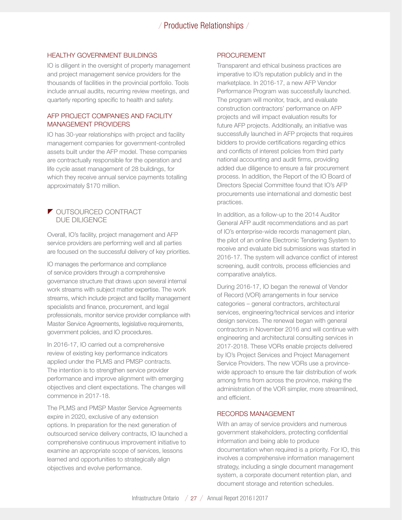# HEALTHY GOVERNMENT BUILDINGS

IO is diligent in the oversight of property management and project management service providers for the thousands of facilities in the provincial portfolio. Tools include annual audits, recurring review meetings, and quarterly reporting specific to health and safety.

# AFP PROJECT COMPANIES AND FACILITY MANAGEMENT PROVIDERS

IO has 30-year relationships with project and facility management companies for government-controlled assets built under the AFP model. These companies are contractually responsible for the operation and life cycle asset management of 28 buildings, for which they receive annual service payments totalling approximately \$170 million.

# <span id="page-26-0"></span>**V** OUTSOURCED CONTRACT DUE DILIGENCE

Overall, IO's facility, project management and AFP service providers are performing well and all parties are focused on the successful delivery of key priorities.

IO manages the performance and compliance of service providers through a comprehensive governance structure that draws upon several internal work streams with subject matter expertise. The work streams, which include project and facility management specialists and finance, procurement, and legal professionals, monitor service provider compliance with Master Service Agreements, legislative requirements, government policies, and IO procedures.

In 2016-17, IO carried out a comprehensive review of existing key performance indicators applied under the PLMS and PMSP contracts. The intention is to strengthen service provider performance and improve alignment with emerging objectives and client expectations. The changes will commence in 2017-18.

The PLMS and PMSP Master Service Agreements expire in 2020, exclusive of any extension options. In preparation for the next generation of outsourced service delivery contracts, IO launched a comprehensive continuous improvement initiative to examine an appropriate scope of services, lessons learned and opportunities to strategically align objectives and evolve performance.

# PROCUREMENT

Transparent and ethical business practices are imperative to IO's reputation publicly and in the marketplace. In 2016-17, a new AFP Vendor Performance Program was successfully launched. The program will monitor, track, and evaluate construction contractors' performance on AFP projects and will impact evaluation results for future AFP projects. Additionally, an initiative was successfully launched in AFP projects that requires bidders to provide certifications regarding ethics and conflicts of interest policies from third party national accounting and audit firms, providing added due diligence to ensure a fair procurement process. In addition, the Report of the IO Board of Directors Special Committee found that IO's AFP procurements use international and domestic best practices.

In addition, as a follow-up to the 2014 Auditor General AFP audit recommendations and as part of IO's enterprise-wide records management plan, the pilot of an online Electronic Tendering System to receive and evaluate bid submissions was started in 2016-17. The system will advance conflict of interest screening, audit controls, process efficiencies and comparative analytics.

During 2016-17, IO began the renewal of Vendor of Record (VOR) arrangements in four service categories – general contractors, architectural services, engineering/technical services and interior design services. The renewal began with general contractors in November 2016 and will continue with engineering and architectural consulting services in 2017-2018. These VORs enable projects delivered by IO's Project Services and Project Management Service Providers. The new VORs use a provincewide approach to ensure the fair distribution of work among firms from across the province, making the administration of the VOR simpler, more streamlined, and efficient.

## RECORDS MANAGEMENT

With an array of service providers and numerous government stakeholders, protecting confidential information and being able to produce documentation when required is a priority. For IO, this involves a comprehensive information management strategy, including a single document management system, a corporate document retention plan, and document storage and retention schedules.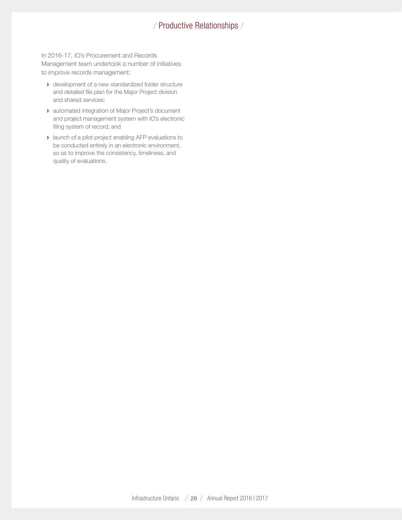# / Productive Relationships /

In 2016-17, IO's Procurement and Records Management team undertook a number of initiatives to improve records management:

- **development of a new standardized folder structure** and detailed file plan for the Major Project division and shared services;
- **automated integration of Major Project's document** and project management system with IO's electronic filing system of record; and
- **I** launch of a pilot project enabling AFP evaluations to be conducted entirely in an electronic environment, so as to improve the consistency, timeliness, and quality of evaluations.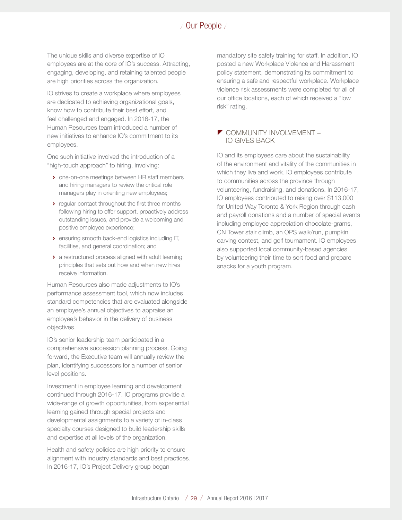# <span id="page-28-0"></span>Our People

The unique skills and diverse expertise of IO employees are at the core of IO's success. Attracting, engaging, developing, and retaining talented people are high priorities across the organization.

IO strives to create a workplace where employees are dedicated to achieving organizational goals, know how to contribute their best effort, and feel challenged and engaged. In 2016-17, the Human Resources team introduced a number of new initiatives to enhance IO's commitment to its employees.

One such initiative involved the introduction of a "high-touch approach" to hiring, involving:

- **If** one-on-one meetings between HR staff members and hiring managers to review the critical role managers play in orienting new employees;
- **P** regular contact throughout the first three months following hiring to offer support, proactively address outstanding issues, and provide a welcoming and positive employee experience;
- **P** ensuring smooth back-end logistics including IT, facilities, and general coordination; and
- **a** restructured process aligned with adult learning principles that sets out how and when new hires receive information.

Human Resources also made adjustments to IO's performance assessment tool, which now includes standard competencies that are evaluated alongside an employee's annual objectives to appraise an employee's behavior in the delivery of business objectives.

IO's senior leadership team participated in a comprehensive succession planning process. Going forward, the Executive team will annually review the plan, identifying successors for a number of senior level positions.

Investment in employee learning and development continued through 2016-17. IO programs provide a wide-range of growth opportunities, from experiential learning gained through special projects and developmental assignments to a variety of in-class specialty courses designed to build leadership skills and expertise at all levels of the organization.

Health and safety policies are high priority to ensure alignment with industry standards and best practices. In 2016-17, IO's Project Delivery group began

mandatory site safety training for staff. In addition, IO posted a new Workplace Violence and Harassment policy statement, demonstrating its commitment to ensuring a safe and respectful workplace. Workplace violence risk assessments were completed for all of our office locations, each of which received a "low risk" rating.

# <span id="page-28-1"></span>**COMMUNITY INVOLVEMENT -**IO GIVES BACK

IO and its employees care about the sustainability of the environment and vitality of the communities in which they live and work. IO employees contribute to communities across the province through volunteering, fundraising, and donations. In 2016-17, IO employees contributed to raising over \$113,000 for United Way Toronto & York Region through cash and payroll donations and a number of special events including employee appreciation chocolate-grams, CN Tower stair climb, an OPS walk/run, pumpkin carving contest, and golf tournament. IO employees also supported local community-based agencies by volunteering their time to sort food and prepare snacks for a youth program.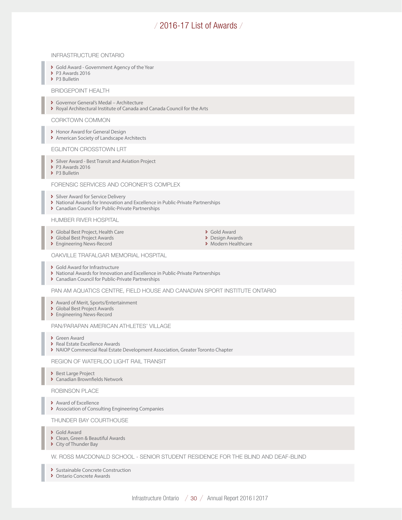# <span id="page-29-0"></span> $\angle$  2016-17 List of Awards  $\angle$



Sustainable Concrete Construction

Ontario Concrete Awards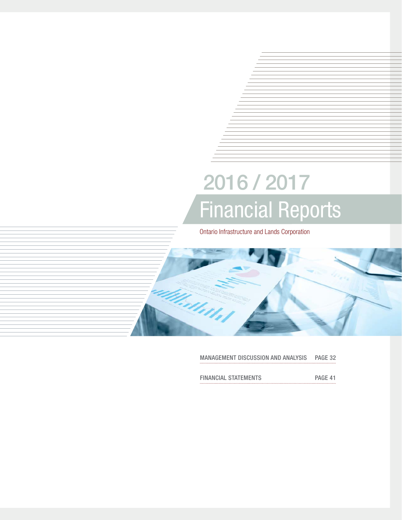# <span id="page-30-0"></span>2016 / 2017 Financial Reports

Ontario Infrastructure and Lands Corporation



[FINANCIAL STATEMENTS PAGE 41](#page-40-0)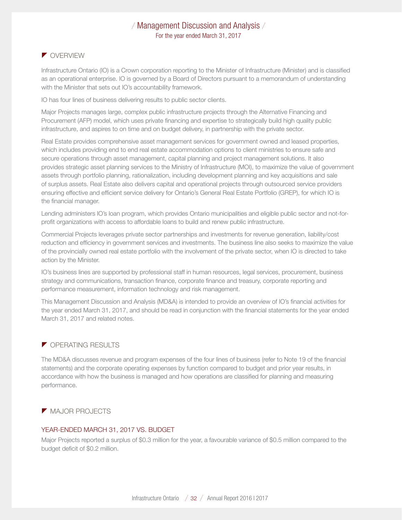# <span id="page-31-0"></span>**7 OVERVIEW**

Infrastructure Ontario (IO) is a Crown corporation reporting to the Minister of Infrastructure (Minister) and is classified as an operational enterprise. IO is governed by a Board of Directors pursuant to a memorandum of understanding with the Minister that sets out IO's accountability framework.

IO has four lines of business delivering results to public sector clients.

Major Projects manages large, complex public infrastructure projects through the Alternative Financing and Procurement (AFP) model, which uses private financing and expertise to strategically build high quality public infrastructure, and aspires to on time and on budget delivery, in partnership with the private sector.

Real Estate provides comprehensive asset management services for government owned and leased properties, which includes providing end to end real estate accommodation options to client ministries to ensure safe and secure operations through asset management, capital planning and project management solutions. It also provides strategic asset planning services to the Ministry of Infrastructure (MOI), to maximize the value of government assets through portfolio planning, rationalization, including development planning and key acquisitions and sale of surplus assets. Real Estate also delivers capital and operational projects through outsourced service providers ensuring effective and efficient service delivery for Ontario's General Real Estate Portfolio (GREP), for which IO is the financial manager.

Lending administers IO's loan program, which provides Ontario municipalities and eligible public sector and not-forprofit organizations with access to affordable loans to build and renew public infrastructure.

Commercial Projects leverages private sector partnerships and investments for revenue generation, liability/cost reduction and efficiency in government services and investments. The business line also seeks to maximize the value of the provincially owned real estate portfolio with the involvement of the private sector, when IO is directed to take action by the Minister.

IO's business lines are supported by professional staff in human resources, legal services, procurement, business strategy and communications, transaction finance, corporate finance and treasury, corporate reporting and performance measurement, information technology and risk management.

This Management Discussion and Analysis (MD&A) is intended to provide an overview of IO's financial activities for the year ended March 31, 2017, and should be read in conjunction with the financial statements for the year ended March 31, 2017 and related notes.

# **7** OPERATING RESULTS

The MD&A discusses revenue and program expenses of the four lines of business (refer to Note 19 of the financial statements) and the corporate operating expenses by function compared to budget and prior year results, in accordance with how the business is managed and how operations are classified for planning and measuring performance.

# **MAJOR PROJECTS**

# YEAR-ENDED MARCH 31, 2017 VS. BUDGET

Major Projects reported a surplus of \$0.3 million for the year, a favourable variance of \$0.5 million compared to the budget deficit of \$0.2 million.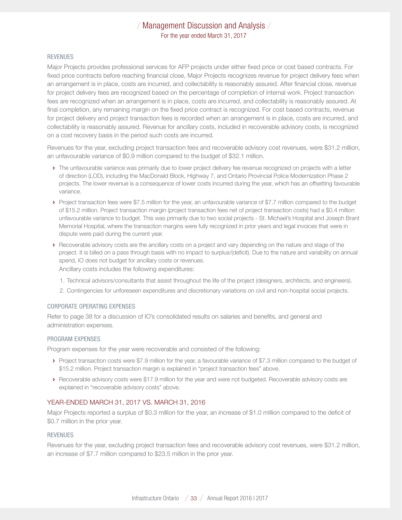#### REVENUES

Major Projects provides professional services for AFP projects under either fixed price or cost based contracts. For fixed price contracts before reaching financial close, Major Projects recognizes revenue for project delivery fees when an arrangement is in place, costs are incurred, and collectability is reasonably assured. After financial close, revenue for project delivery fees are recognized based on the percentage of completion of internal work. Project transaction fees are recognized when an arrangement is in place, costs are incurred, and collectability is reasonably assured. At final completion, any remaining margin on the fixed price contract is recognized. For cost based contracts, revenue for project delivery and project transaction fees is recorded when an arrangement is in place, costs are incurred, and collectability is reasonably assured. Revenue for ancillary costs, included in recoverable advisory costs, is recognized on a cost recovery basis in the period such costs are incurred.

Revenues for the year, excluding project transaction fees and recoverable advisory cost revenues, were \$31.2 million, an unfavourable variance of \$0.9 million compared to the budget of \$32.1 million.

- The unfavourable variance was primarily due to lower project delivery fee revenue recognized on projects with a letter of direction (LOD), including the MacDonald Block, Highway 7, and Ontario Provincial Police Modernization Phase 2 projects. The lower revenue is a consequence of lower costs incurred during the year, which has an offsetting favourable variance.
- Project transaction fees were \$7.5 million for the year, an unfavourable variance of \$7.7 million compared to the budget of \$15.2 million. Project transaction margin (project transaction fees net of project transaction costs) had a \$0.4 million unfavourable variance to budget. This was primarily due to two social projects - St. Michael's Hospital and Joseph Brant Memorial Hospital, where the transaction margins were fully recognized in prior years and legal invoices that were in dispute were paid during the current year.
- Recoverable advisory costs are the ancillary costs on a project and vary depending on the nature and stage of the project. It is billed on a pass through basis with no impact to surplus/(deficit). Due to the nature and variability on annual spend, IO does not budget for ancillary costs or revenues. Ancillary costs includes the following expenditures:
	- 1. Technical advisors/consultants that assist throughout the life of the project (designers, architects, and engineers).
	- 2. Contingencies for unforeseen expenditures and discretionary variations on civil and non-hospital social projects.

#### CORPORATE OPERATING EXPENSES

Refer to page 38 for a discussion of IO's consolidated results on salaries and benefits, and general and administration expenses.

#### PROGRAM EXPENSES

Program expenses for the year were recoverable and consisted of the following:

- Project transaction costs were \$7.9 million for the year, a favourable variance of \$7.3 million compared to the budget of \$15.2 million. Project transaction margin is explained in "project transaction fees" above.
- Recoverable advisory costs were \$17.9 million for the year and were not budgeted. Recoverable advisory costs are explained in "recoverable advisory costs" above.

### YEAR-ENDED MARCH 31, 2017 VS. MARCH 31, 2016

Major Projects reported a surplus of \$0.3 million for the year, an increase of \$1.0 million compared to the deficit of \$0.7 million in the prior year.

#### **REVENUES**

Revenues for the year, excluding project transaction fees and recoverable advisory cost revenues, were \$31.2 million, an increase of \$7.7 million compared to \$23.5 million in the prior year.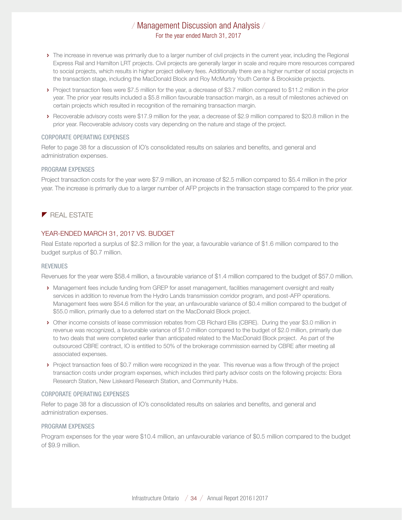- The increase in revenue was primarily due to a larger number of civil projects in the current year, including the Regional Express Rail and Hamilton LRT projects. Civil projects are generally larger in scale and require more resources compared to social projects, which results in higher project delivery fees. Additionally there are a higher number of social projects in the transaction stage, including the MacDonald Block and Roy McMurtry Youth Center & Brookside projects.
- Project transaction fees were \$7.5 million for the year, a decrease of \$3.7 million compared to \$11.2 million in the prior year. The prior year results included a \$5.8 million favourable transaction margin, as a result of milestones achieved on certain projects which resulted in recognition of the remaining transaction margin.
- Recoverable advisory costs were \$17.9 million for the year, a decrease of \$2.9 million compared to \$20.8 million in the prior year. Recoverable advisory costs vary depending on the nature and stage of the project.

### CORPORATE OPERATING EXPENSES

Refer to page 38 for a discussion of IO's consolidated results on salaries and benefits, and general and administration expenses.

### PROGRAM EXPENSES

Project transaction costs for the year were \$7.9 million, an increase of \$2.5 million compared to \$5.4 million in the prior year. The increase is primarily due to a larger number of AFP projects in the transaction stage compared to the prior year.

# **FREAL ESTATE**

# YEAR-ENDED MARCH 31, 2017 VS. BUDGET

Real Estate reported a surplus of \$2.3 million for the year, a favourable variance of \$1.6 million compared to the budget surplus of \$0.7 million.

#### **REVENUES**

Revenues for the year were \$58.4 million, a favourable variance of \$1.4 million compared to the budget of \$57.0 million.

- Management fees include funding from GREP for asset management, facilities management oversight and realty services in addition to revenue from the Hydro Lands transmission corridor program, and post-AFP operations. Management fees were \$54.6 million for the year, an unfavourable variance of \$0.4 million compared to the budget of \$55.0 million, primarily due to a deferred start on the MacDonald Block project.
- Other income consists of lease commission rebates from CB Richard Ellis (CBRE). During the year \$3.0 million in revenue was recognized, a favourable variance of \$1.0 million compared to the budget of \$2.0 million, primarily due to two deals that were completed earlier than anticipated related to the MacDonald Block project. As part of the outsourced CBRE contract, IO is entitled to 50% of the brokerage commission earned by CBRE after meeting all associated expenses.
- Project transaction fees of \$0.7 million were recognized in the year. This revenue was a flow through of the project transaction costs under program expenses, which includes third party advisor costs on the following projects: Elora Research Station, New Liskeard Research Station, and Community Hubs.

#### CORPORATE OPERATING EXPENSES

Refer to page 38 for a discussion of IO's consolidated results on salaries and benefits, and general and administration expenses.

#### PROGRAM EXPENSES

Program expenses for the year were \$10.4 million, an unfavourable variance of \$0.5 million compared to the budget of \$9.9 million.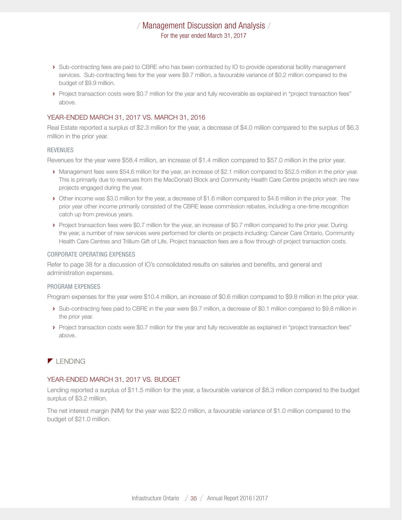- Sub-contracting fees are paid to CBRE who has been contracted by IO to provide operational facility management services. Sub-contracting fees for the year were \$9.7 million, a favourable variance of \$0.2 million compared to the budget of \$9.9 million.
- Project transaction costs were \$0.7 million for the year and fully recoverable as explained in "project transaction fees" above.

# YEAR-ENDED MARCH 31, 2017 VS. MARCH 31, 2016

Real Estate reported a surplus of \$2.3 million for the year, a decrease of \$4.0 million compared to the surplus of \$6.3 million in the prior year.

## **REVENUES**

Revenues for the year were \$58.4 million, an increase of \$1.4 million compared to \$57.0 million in the prior year.

- Management fees were \$54.6 million for the year, an increase of \$2.1 million compared to \$52.5 million in the prior year. This is primarily due to revenues from the MacDonald Block and Community Health Care Centre projects which are new projects engaged during the year.
- Other income was \$3.0 million for the year, a decrease of \$1.6 million compared to \$4.6 million in the prior year. The prior year other income primarily consisted of the CBRE lease commission rebates, including a one-time recognition catch up from previous years.
- Project transaction fees were \$0.7 million for the year, an increase of \$0.7 million compared to the prior year. During the year, a number of new services were performed for clients on projects including: Cancer Care Ontario, Community Health Care Centres and Trillium Gift of Life. Project transaction fees are a flow through of project transaction costs.

### CORPORATE OPERATING EXPENSES

Refer to page 38 for a discussion of IO's consolidated results on salaries and benefits, and general and administration expenses.

#### PROGRAM EXPENSES

Program expenses for the year were \$10.4 million, an increase of \$0.6 million compared to \$9.8 million in the prior year.

- Sub-contracting fees paid to CBRE in the year were \$9.7 million, a decrease of \$0.1 million compared to \$9.8 million in the prior year.
- Project transaction costs were \$0.7 million for the year and fully recoverable as explained in "project transaction fees" above.

# **LENDING**

## YEAR-ENDED MARCH 31, 2017 VS. BUDGET

Lending reported a surplus of \$11.5 million for the year, a favourable variance of \$8.3 million compared to the budget surplus of \$3.2 million.

The net interest margin (NIM) for the year was \$22.0 million, a favourable variance of \$1.0 million compared to the budget of \$21.0 million.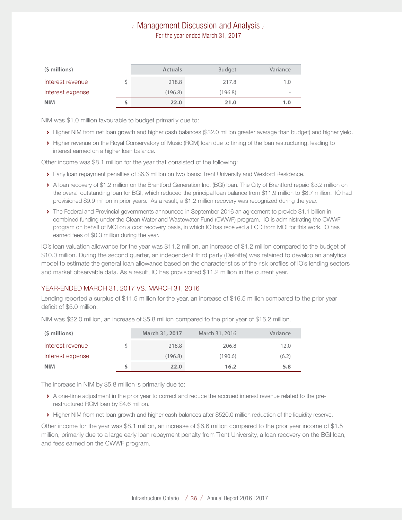# $\sqrt{m}$  Management Discussion and Analysis  $\sqrt{m}$

For the year ended March 31, 2017

| (\$ millions)    | <b>Actuals</b> | <b>Budget</b> | Variance        |
|------------------|----------------|---------------|-----------------|
| Interest revenue | 218.8          | 217.8         | 1.0             |
| Interest expense | (196.8)        | (196.8)       | $\qquad \qquad$ |
| <b>NIM</b>       | 22.0           | 21.0          | 1.0             |

NIM was \$1.0 million favourable to budget primarily due to:

- Higher NIM from net loan growth and higher cash balances (\$32.0 million greater average than budget) and higher yield.
- Higher revenue on the Royal Conservatory of Music (RCM) loan due to timing of the loan restructuring, leading to interest earned on a higher loan balance.

Other income was \$8.1 million for the year that consisted of the following:

- Early loan repayment penalties of \$6.6 million on two loans: Trent University and Wexford Residence.
- A loan recovery of \$1.2 million on the Brantford Generation Inc. (BGI) loan. The City of Brantford repaid \$3.2 million on the overall outstanding loan for BGI, which reduced the principal loan balance from \$11.9 million to \$8.7 million. IO had provisioned \$9.9 million in prior years. As a result, a \$1.2 million recovery was recognized during the year.
- The Federal and Provincial governments announced in September 2016 an agreement to provide \$1.1 billion in combined funding under the Clean Water and Wastewater Fund (CWWF) program. IO is administrating the CWWF program on behalf of MOI on a cost recovery basis, in which IO has received a LOD from MOI for this work. IO has earned fees of \$0.3 million during the year.

IO's loan valuation allowance for the year was \$11.2 million, an increase of \$1.2 million compared to the budget of \$10.0 million. During the second quarter, an independent third party (Deloitte) was retained to develop an analytical model to estimate the general loan allowance based on the characteristics of the risk profiles of IO's lending sectors and market observable data. As a result, IO has provisioned \$11.2 million in the current year.

# YEAR-ENDED MARCH 31, 2017 VS. MARCH 31, 2016

Lending reported a surplus of \$11.5 million for the year, an increase of \$16.5 million compared to the prior year deficit of \$5.0 million.

| (\$ millions)    | March 31, 2017 | March 31, 2016 | Variance |
|------------------|----------------|----------------|----------|
| Interest revenue | 218.8          | 206.8          | 12.0     |
| Interest expense | (196.8)        | (190.6)        | (6.2)    |
| <b>NIM</b>       | 22.0           | 16.2           | 5.8      |

NIM was \$22.0 million, an increase of \$5.8 million compared to the prior year of \$16.2 million.

The increase in NIM by \$5.8 million is primarily due to:

- A one-time adjustment in the prior year to correct and reduce the accrued interest revenue related to the prerestructured RCM loan by \$4.6 million.
- Higher NIM from net loan growth and higher cash balances after \$520.0 million reduction of the liquidity reserve.

Other income for the year was \$8.1 million, an increase of \$6.6 million compared to the prior year income of \$1.5 million, primarily due to a large early loan repayment penalty from Trent University, a loan recovery on the BGI loan, and fees earned on the CWWF program.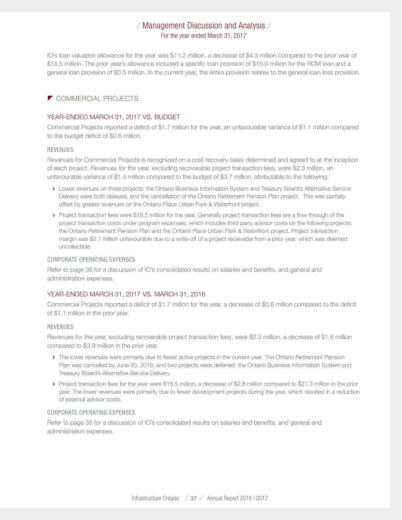IO's loan valuation allowance for the year was \$11.2 million, a decrease of \$4.3 million compared to the prior year of \$15.5 million. The prior year's allowance included a specific loan provision of \$15.0 million for the RCM loan and a general loan provision of \$0.5 million. In the current year, the entire provision relates to the general loan loss provision.

# **7 COMMERCIAL PROJECTS**

# YEAR-ENDED MARCH 31, 2017 VS. BUDGET

Commercial Projects reported a deficit of \$1.7 million for the year, an unfavourable variance of \$1.1 million compared to the budget deficit of \$0.6 million.

## REVENUES

Revenues for Commercial Projects is recognized on a cost recovery basis determined and agreed to at the inception of each project. Revenues for the year, excluding recoverable project transaction fees, were \$2.3 million, an unfavourable variance of \$1.4 million compared to the budget of \$3.7 million, attributable to the following:

- Lower revenues on three projects: the Ontario Business Information System and Treasury Board's Alternative Service Delivery were both delayed, and the cancellation of the Ontario Retirement Pension Plan project. This was partially offset by greater revenues on the Ontario Place Urban Park & Waterfront project.
- Project transaction fees were \$18.5 million for the year. Generally project transaction fees are a flow through of the project transaction costs under program expenses, which includes third party advisor costs on the following projects: the Ontario Retirement Pension Plan and the Ontario Place Urban Park & Waterfront project. Project transaction margin was \$0.1 million unfavourable due to a write-off of a project receivable from a prior year, which was deemed uncollectible.

## CORPORATE OPERATING EXPENSES

Refer to page 38 for a discussion of IO's consolidated results on salaries and benefits, and general and administration expenses.

# YEAR-ENDED MARCH 31, 2017 VS. MARCH 31, 2016

Commercial Projects reported a deficit of \$1.7 million for the year, a decrease of \$0.6 million compared to the deficit of \$1.1 million in the prior year.

## **REVENUES**

Revenues for the year, excluding recoverable project transaction fees, were \$2.3 million, a decrease of \$1.6 million compared to \$3.9 million in the prior year.

- The lower revenues were primarily due to fewer active projects in the current year. The Ontario Retirement Pension Plan was cancelled by June 30, 2016, and two projects were deferred: the Ontario Business Information System and Treasury Board's Alternative Service Delivery.
- Project transaction fees for the year were \$18.5 million, a decrease of \$2.8 million compared to \$21.3 million in the prior year. The lower revenues were primarily due to fewer development projects during the year, which resulted in a reduction of external advisor costs.

#### CORPORATE OPERATING EXPENSES

Refer to page 38 for a discussion of IO's consolidated results on salaries and benefits, and general and administration expenses.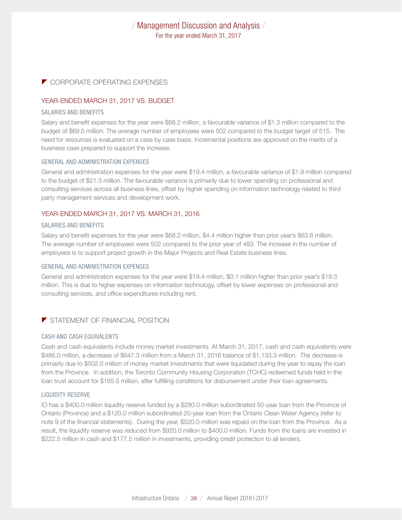# **7 CORPORATE OPERATING EXPENSES**

## YEAR-ENDED MARCH 31, 2017 VS. BUDGET

## SALARIES AND BENEFITS

Salary and benefit expenses for the year were \$68.2 million, a favourable variance of \$1.3 million compared to the budget of \$69.5 million. The average number of employees were 502 compared to the budget target of 515. The need for resources is evaluated on a case by case basis. Incremental positions are approved on the merits of a business case prepared to support the increase.

### GENERAL AND ADMINISTRATION EXPENSES

General and administration expenses for the year were \$19.4 million, a favourable variance of \$1.9 million compared to the budget of \$21.3 million. The favourable variance is primarily due to lower spending on professional and consulting services across all business lines, offset by higher spending on information technology related to third party management services and development work.

## YEAR-ENDED MARCH 31, 2017 VS. MARCH 31, 2016

### SALARIES AND BENEFITS

Salary and benefit expenses for the year were \$68.2 million, \$4.4 million higher than prior year's \$63.8 million. The average number of employees were 502 compared to the prior year of 483. The increase in the number of employees is to support project growth in the Major Projects and Real Estate business lines.

## GENERAL AND ADMINISTRATION EXPENSES

General and administration expenses for the year were \$19.4 million, \$0.1 million higher than prior year's \$19.3 million. This is due to higher expenses on information technology, offset by lower expenses on professional and consulting services, and office expenditures including rent.

# **STATEMENT OF FINANCIAL POSITION**

## CASH AND CASH EQUIVALENTS

Cash and cash equivalents include money market investments. At March 31, 2017, cash and cash equivalents were \$486.0 million, a decrease of \$647.3 million from a March 31, 2016 balance of \$1,133.3 million. The decrease is primarily due to \$502.0 million of money market investments that were liquidated during the year to repay the loan from the Province. In addition, the Toronto Community Housing Corporation (TCHC) redeemed funds held in the loan trust account for \$165.5 million, after fulfilling conditions for disbursement under their loan agreements.

## LIQUIDITY RESERVE

IO has a \$400.0 million liquidity reserve funded by a \$280.0 million subordinated 50-year loan from the Province of Ontario (Province) and a \$120.0 million subordinated 20-year loan from the Ontario Clean Water Agency (refer to note 9 of the financial statements). During the year, \$520.0 million was repaid on the loan from the Province. As a result, the liquidity reserve was reduced from \$920.0 million to \$400.0 million. Funds from the loans are invested in \$222.5 million in cash and \$177.5 million in investments, providing credit protection to all lenders.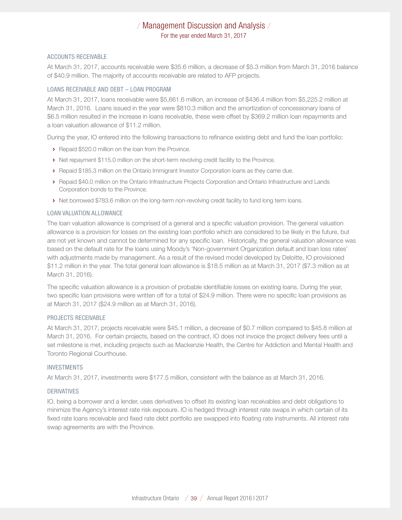## ACCOUNTS RECEIVABLE

At March 31, 2017, accounts receivable were \$35.6 million, a decrease of \$5.3 million from March 31, 2016 balance of \$40.9 million. The majority of accounts receivable are related to AFP projects.

#### LOANS RECEIVABLE AND DEBT – LOAN PROGRAM

At March 31, 2017, loans receivable were \$5,661.6 million, an increase of \$436.4 million from \$5,225.2 million at March 31, 2016. Loans issued in the year were \$810.3 million and the amortization of concessionary loans of \$6.5 million resulted in the increase in loans receivable, these were offset by \$369.2 million loan repayments and a loan valuation allowance of \$11.2 million.

During the year, IO entered into the following transactions to refinance existing debt and fund the loan portfolio:

- Repaid \$520.0 million on the loan from the Province.
- **>** Net repayment \$115.0 million on the short-term revolving credit facility to the Province.
- Repaid \$185.3 million on the Ontario Immigrant Investor Corporation loans as they came due.
- Repaid \$40.0 million on the Ontario Infrastructure Projects Corporation and Ontario Infrastructure and Lands Corporation bonds to the Province.
- Net borrowed \$783.6 million on the long-term non-revolving credit facility to fund long term loans.

### LOAN VALUATION ALLOWANCE

The loan valuation allowance is comprised of a general and a specific valuation provision. The general valuation allowance is a provision for losses on the existing loan portfolio which are considered to be likely in the future, but are not yet known and cannot be determined for any specific loan. Historically, the general valuation allowance was based on the default rate for the loans using Moody's 'Non-government Organization default and loan loss rates' with adjustments made by management. As a result of the revised model developed by Deloitte, IO provisioned \$11.2 million in the year. The total general loan allowance is \$18.5 million as at March 31, 2017 (\$7.3 million as at March 31, 2016).

The specific valuation allowance is a provision of probable identifiable losses on existing loans. During the year, two specific loan provisions were written off for a total of \$24.9 million. There were no specific loan provisions as at March 31, 2017 (\$24.9 million as at March 31, 2016).

#### PROJECTS RECEIVABLE

At March 31, 2017, projects receivable were \$45.1 million, a decrease of \$0.7 million compared to \$45.8 million at March 31, 2016. For certain projects, based on the contract, IO does not invoice the project delivery fees until a set milestone is met, including projects such as Mackenzie Health, the Centre for Addiction and Mental Health and Toronto Regional Courthouse.

#### INVESTMENTS

At March 31, 2017, investments were \$177.5 million, consistent with the balance as at March 31, 2016.

#### DERIVATIVES

IO, being a borrower and a lender, uses derivatives to offset its existing loan receivables and debt obligations to minimize the Agency's interest rate risk exposure. IO is hedged through interest rate swaps in which certain of its fixed rate loans receivable and fixed rate debt portfolio are swapped into floating rate instruments. All interest rate swap agreements are with the Province.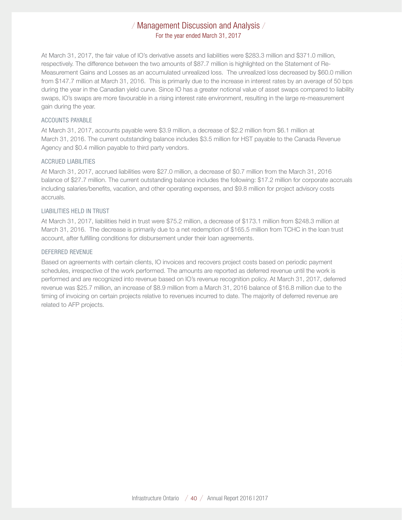At March 31, 2017, the fair value of IO's derivative assets and liabilities were \$283.3 million and \$371.0 million, respectively. The difference between the two amounts of \$87.7 million is highlighted on the Statement of Re-Measurement Gains and Losses as an accumulated unrealized loss. The unrealized loss decreased by \$60.0 million from \$147.7 million at March 31, 2016. This is primarily due to the increase in interest rates by an average of 50 bps during the year in the Canadian yield curve. Since IO has a greater notional value of asset swaps compared to liability swaps, IO's swaps are more favourable in a rising interest rate environment, resulting in the large re-measurement gain during the year.

### ACCOUNTS PAYABLE

At March 31, 2017, accounts payable were \$3.9 million, a decrease of \$2.2 million from \$6.1 million at March 31, 2016. The current outstanding balance includes \$3.5 million for HST payable to the Canada Revenue Agency and \$0.4 million payable to third party vendors.

### ACCRUED LIABILITIES

At March 31, 2017, accrued liabilities were \$27.0 million, a decrease of \$0.7 million from the March 31, 2016 balance of \$27.7 million. The current outstanding balance includes the following: \$17.2 million for corporate accruals including salaries/benefits, vacation, and other operating expenses, and \$9.8 million for project advisory costs accruals.

### LIABILITIES HELD IN TRUST

At March 31, 2017, liabilities held in trust were \$75.2 million, a decrease of \$173.1 million from \$248.3 million at March 31, 2016. The decrease is primarily due to a net redemption of \$165.5 million from TCHC in the loan trust account, after fulfilling conditions for disbursement under their loan agreements.

### DEFERRED REVENUE

Based on agreements with certain clients, IO invoices and recovers project costs based on periodic payment schedules, irrespective of the work performed. The amounts are reported as deferred revenue until the work is performed and are recognized into revenue based on IO's revenue recognition policy. At March 31, 2017, deferred revenue was \$25.7 million, an increase of \$8.9 million from a March 31, 2016 balance of \$16.8 million due to the timing of invoicing on certain projects relative to revenues incurred to date. The majority of deferred revenue are related to AFP projects.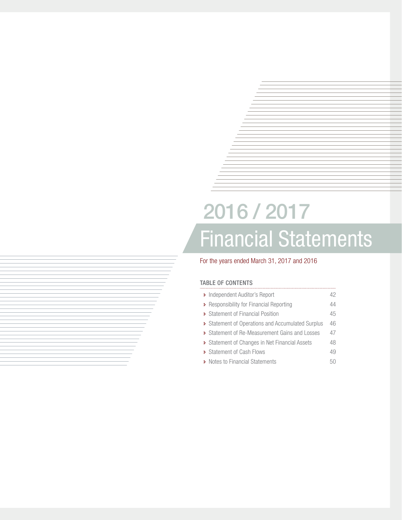# <span id="page-40-0"></span>2016 / 2017 Financial Statements

# For the years ended March 31, 2017 and 2016

## TABLE OF CONTENTS

| Independent Auditor's Report                    | 42 |
|-------------------------------------------------|----|
| Responsibility for Financial Reporting          | 44 |
| Statement of Financial Position                 | 45 |
| Statement of Operations and Accumulated Surplus | 46 |
| Statement of Re-Measurement Gains and Losses    | 47 |
| Statement of Changes in Net Financial Assets    | 48 |
| Statement of Cash Flows                         | 49 |
| • Notes to Financial Statements                 | hl |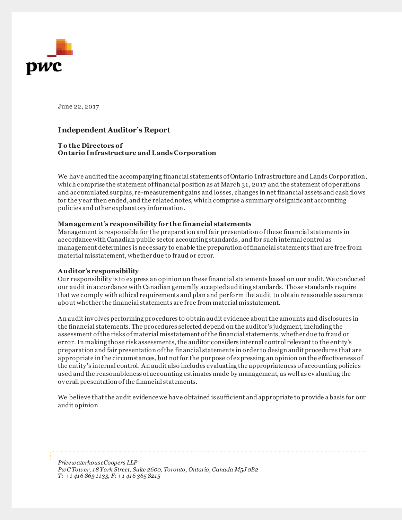

June 22, 2017

# <span id="page-41-0"></span>**Independent Auditor's Report**

**T o the Directors of Ontario Infrastructure and Lands Corporation** 

We have audited the accompanying financial statements of Ontario Infrastructure and Lands Corporation, which comprise the statement of financial position as at March 31, 2017 and the statement of operations and accumulated surplus, re-measurement gains and losses, changes in net financial assets and cash flows for the y ear then ended, and the related notes, which comprise a summary of significant accounting policies and other explanatory information.

## **Managem ent's responsibility for the financial statements**

Management is responsible for the preparation and fair presentation of these financial statements in accordance with Canadian public sector accounting standards, and for such internal control as management determines is necessary to enable the preparation of financial statements that are free from material misstatement, whether due to fraud or error.

## **Auditor's responsibility**

Our responsibility is to express an opinion on these financial statements based on our audit. We conducted our audit in accordance with Canadian generally accepted auditing standards. Those standards require that we comply with ethical requirements and plan and perform the audit to obtain reasonable assurance about whether the financial statements are free from material misstatement.

An audit involves performing procedures to obtain audit evidence about the amounts and disclosures in the financial statements. The procedures selected depend on the auditor's judgment, including the assessment of the risks of material misstatement of the financial statements, whether due to fraud or error. In making those risk assessments, the auditor considers internal control relevant to the entity's preparation and fair presentation of the financial statements in order to design audit procedures that are appropriate in the circumstances, but not for the purpose of expressing an opinion on the effectiveness of the entity 's internal control. An audit also includes evaluating the appropriateness of accounting policies used and the reasonableness of accounting estimates made by management, as well as evaluati ng the overall presentation of the financial statements.

We believe that the audit evidence we have obtained is sufficient and appropriate to provide a basis for our audit opinion.

*PricewaterhouseCoopers LLP PwC Tower, 18 York Street, Suite 2600, Toronto, Ontario, Canada M5J 0B2 T: +1 416 863 1133, F: +1 416 365 8215*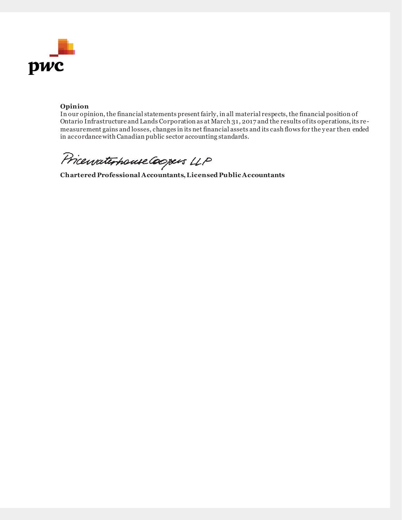

# **Opinion**

In our opinion, the financial statements present fairly, in all material respects, the financial position of Ontario Infrastructure and Lands Corporation as at March 31, 2017 and the results of its operations, its remeasurement gains and losses, changes in its net financial assets and its cash flows for the y ear then ended in accordance with Canadian public sector accounting standards.

Pricewaterhouse Coopers LLP

**Chartered Professional Accountants, Licensed Public Accountants**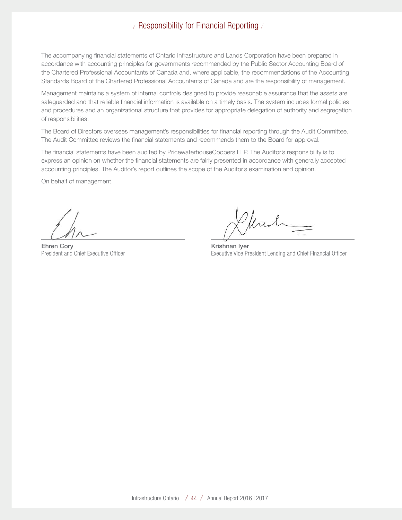# <span id="page-43-0"></span> $\sqrt{R}$  Responsibility for Financial Reporting  $\sqrt{R}$

The accompanying financial statements of Ontario Infrastructure and Lands Corporation have been prepared in accordance with accounting principles for governments recommended by the Public Sector Accounting Board of the Chartered Professional Accountants of Canada and, where applicable, the recommendations of the Accounting Standards Board of the Chartered Professional Accountants of Canada and are the responsibility of management.

Management maintains a system of internal controls designed to provide reasonable assurance that the assets are safeguarded and that reliable financial information is available on a timely basis. The system includes formal policies and procedures and an organizational structure that provides for appropriate delegation of authority and segregation of responsibilities.

The Board of Directors oversees management's responsibilities for financial reporting through the Audit Committee. The Audit Committee reviews the financial statements and recommends them to the Board for approval.

The financial statements have been audited by PricewaterhouseCoopers LLP. The Auditor's responsibility is to express an opinion on whether the financial statements are fairly presented in accordance with generally accepted accounting principles. The Auditor's report outlines the scope of the Auditor's examination and opinion.

On behalf of management,

Ehren Cory President and Chief Executive Officer

Irel

Krishnan Iyer Executive Vice President Lending and Chief Financial Officer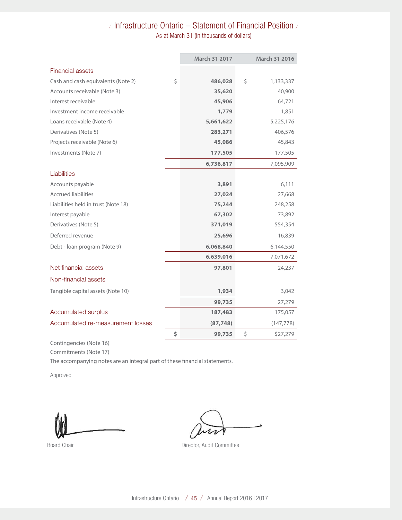# <span id="page-44-0"></span> $\sqrt{}$  Infrastructure Ontario – Statement of Financial Position  $\sqrt{}$ As at March 31 (in thousands of dollars)

|                                     | March 31 2017 | March 31 2016   |
|-------------------------------------|---------------|-----------------|
| <b>Financial assets</b>             |               |                 |
| Cash and cash equivalents (Note 2)  | \$<br>486,028 | \$<br>1,133,337 |
| Accounts receivable (Note 3)        | 35,620        | 40,900          |
| Interest receivable                 | 45,906        | 64,721          |
| Investment income receivable        | 1,779         | 1,851           |
| Loans receivable (Note 4)           | 5,661,622     | 5,225,176       |
| Derivatives (Note 5)                | 283,271       | 406,576         |
| Projects receivable (Note 6)        | 45,086        | 45,843          |
| Investments (Note 7)                | 177,505       | 177,505         |
|                                     | 6,736,817     | 7,095,909       |
| Liabilities                         |               |                 |
| Accounts payable                    | 3,891         | 6,111           |
| <b>Accrued liabilities</b>          | 27,024        | 27,668          |
| Liabilities held in trust (Note 18) | 75,244        | 248,258         |
| Interest payable                    | 67,302        | 73,892          |
| Derivatives (Note 5)                | 371,019       | 554,354         |
| Deferred revenue                    | 25,696        | 16,839          |
| Debt - Ioan program (Note 9)        | 6,068,840     | 6,144,550       |
|                                     | 6,639,016     | 7,071,672       |
| Net financial assets                | 97,801        | 24,237          |
| Non-financial assets                |               |                 |
| Tangible capital assets (Note 10)   | 1,934         | 3,042           |
|                                     | 99,735        | 27,279          |
| Accumulated surplus                 | 187,483       | 175,057         |
| Accumulated re-measurement losses   | (87, 748)     | (147, 778)      |
|                                     | \$<br>99,735  | \$<br>\$27,279  |

Contingencies (Note 16) Commitments (Note 17)

The accompanying notes are an integral part of these financial statements.

Approved

Board Chair **Director**, Audit Committee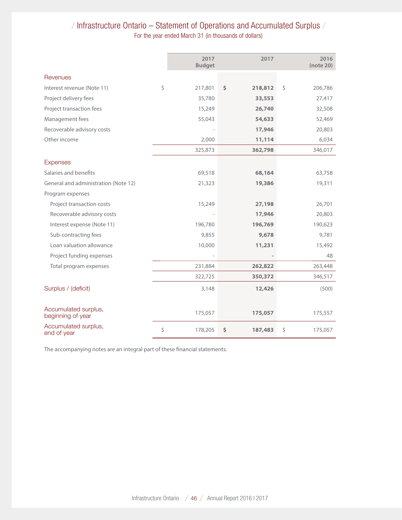# <span id="page-45-0"></span> $\sqrt{1}$  Infrastructure Ontario – Statement of Operations and Accumulated Surplus  $\sqrt{1}$ For the year ended March 31 (in thousands of dollars)

|                                           | 2017<br><b>Budget</b> | 2017          | 2016<br>(note 20) |
|-------------------------------------------|-----------------------|---------------|-------------------|
| Revenues                                  |                       |               |                   |
| Interest revenue (Note 11)                | \$<br>217,801         | 218,812<br>\$ | 206,786<br>\$     |
| Project delivery fees                     | 35,780                | 33,553        | 27,417            |
| Project transaction fees                  | 15,249                | 26,740        | 32,508            |
| Management fees                           | 55,043                | 54,633        | 52,469            |
| Recoverable advisory costs                |                       | 17,946        | 20,803            |
| Other income                              | 2,000                 | 11,114        | 6,034             |
|                                           | 325,873               | 362,798       | 346,017           |
| <b>Expenses</b>                           |                       |               |                   |
| Salaries and benefits                     | 69,518                | 68,164        | 63,758            |
| General and administration (Note 12)      | 21,323                | 19,386        | 19,311            |
| Program expenses                          |                       |               |                   |
| Project transaction costs                 | 15,249                | 27,198        | 26,701            |
| Recoverable advisory costs                |                       | 17,946        | 20,803            |
| Interest expense (Note 11)                | 196,780               | 196,769       | 190,623           |
| Sub-contracting fees                      | 9,855                 | 9,678         | 9,781             |
| Loan valuation allowance                  | 10,000                | 11,231        | 15,492            |
| Project funding expenses                  |                       |               | 48                |
| Total program expenses                    | 231,884               | 262,822       | 263,448           |
|                                           | 322,725               | 350,372       | 346,517           |
| Surplus / (deficit)                       | 3,148                 | 12,426        | (500)             |
| Accumulated surplus,<br>beginning of year | 175,057               | 175,057       | 175,557           |
| Accumulated surplus,<br>end of year       | \$<br>178,205         | \$<br>187,483 | \$<br>175,057     |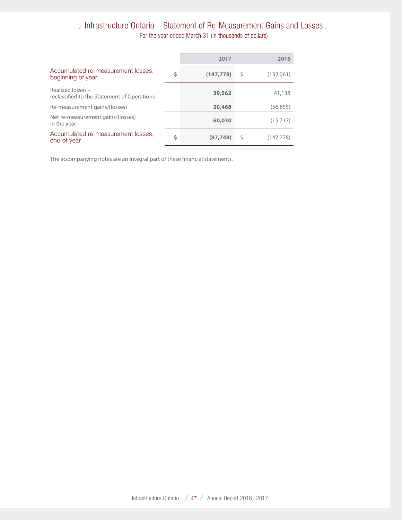# <span id="page-46-0"></span> $\sqrt{1}$ Infrastructure Ontario – Statement of Re-Measurement Gains and Losses  $\sqrt{1}$ For the year ended March 31 (in thousands of dollars)

|                                                                  | 2017             |   | 2016       |
|------------------------------------------------------------------|------------------|---|------------|
| Accumulated re-measurement losses,<br>beginning of year          | \$<br>(147, 778) | Ŝ | (132,061)  |
| Realized losses -<br>reclassified to the Statement of Operations | 39,562           |   | 41,138     |
| Re-measurement gains/(losses)                                    | 20,468           |   | (56, 855)  |
| Net re-measurement gains/(losses)<br>in the year                 | 60,030           |   | (15,717)   |
| Accumulated re-measurement losses,<br>end of year                | \$<br>(87, 748)  | S | (147, 778) |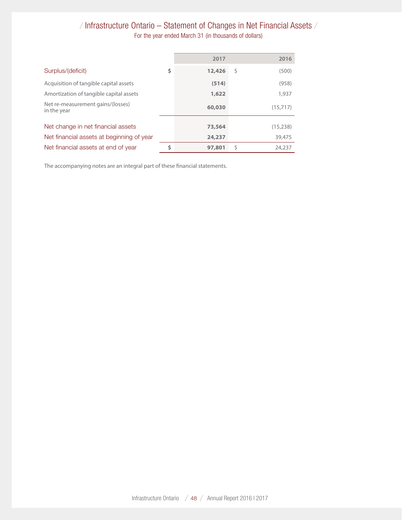# <span id="page-47-0"></span> $\sqrt{1}$ Infrastructure Ontario – Statement of Changes in Net Financial Assets  $\sqrt{1}$ For the year ended March 31 (in thousands of dollars)

|                                                  |    | 2017   |   | 2016      |
|--------------------------------------------------|----|--------|---|-----------|
| Surplus/(deficit)                                | \$ | 12,426 | Ś | (500)     |
| Acquisition of tangible capital assets           |    | (514)  |   | (958)     |
| Amortization of tangible capital assets          |    | 1,622  |   | 1,937     |
| Net re-measurement gains/(losses)<br>in the year |    | 60,030 |   | (15,717)  |
|                                                  |    |        |   |           |
| Net change in net financial assets               |    | 73,564 |   | (15, 238) |
| Net financial assets at beginning of year        |    | 24,237 |   | 39,475    |
| Net financial assets at end of year              | Ś  | 97,801 |   | 24,237    |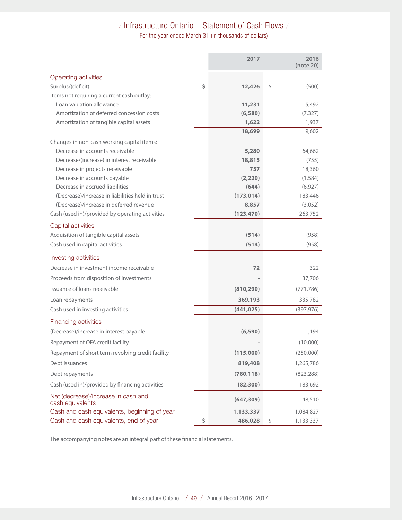# $\sqrt{}$  Infrastructure Ontario – Statement of Cash Flows  $\sqrt{}$

<span id="page-48-0"></span>For the year ended March 31 (in thousands of dollars)

|                                                                                             | 2017                | 2016<br>(note 20)  |
|---------------------------------------------------------------------------------------------|---------------------|--------------------|
| Operating activities                                                                        |                     |                    |
| Surplus/(deficit)                                                                           | \$<br>12,426        | \$<br>(500)        |
| Items not requiring a current cash outlay:                                                  |                     |                    |
| Loan valuation allowance                                                                    | 11,231              | 15,492             |
| Amortization of deferred concession costs                                                   | (6, 580)            | (7, 327)           |
| Amortization of tangible capital assets                                                     | 1,622               | 1,937              |
|                                                                                             | 18,699              | 9,602              |
| Changes in non-cash working capital items:                                                  |                     |                    |
| Decrease in accounts receivable                                                             | 5,280               | 64,662             |
| Decrease/(increase) in interest receivable                                                  | 18,815              | (755)              |
| Decrease in projects receivable                                                             | 757                 | 18,360             |
| Decrease in accounts payable                                                                | (2, 220)            | (1,584)            |
| Decrease in accrued liabilities                                                             | (644)               | (6, 927)           |
| (Decrease)/increase in liabilities held in trust<br>(Decrease)/increase in deferred revenue | (173, 014)<br>8,857 | 183,446<br>(3,052) |
| Cash (used in)/provided by operating activities                                             | (123, 470)          | 263,752            |
|                                                                                             |                     |                    |
| Capital activities                                                                          |                     |                    |
| Acquisition of tangible capital assets                                                      | (514)               | (958)              |
| Cash used in capital activities                                                             | (514)               | (958)              |
| Investing activities                                                                        |                     |                    |
| Decrease in investment income receivable                                                    | 72                  | 322                |
| Proceeds from disposition of investments                                                    |                     | 37,706             |
| Issuance of loans receivable                                                                | (810, 290)          | (771, 786)         |
| Loan repayments                                                                             | 369,193             | 335,782            |
| Cash used in investing activities                                                           | (441, 025)          | (397, 976)         |
| <b>Financing activities</b>                                                                 |                     |                    |
| (Decrease)/increase in interest payable                                                     | (6, 590)            | 1,194              |
| Repayment of OFA credit facility                                                            |                     | (10,000)           |
| Repayment of short term revolving credit facility                                           | (115,000)           | (250,000)          |
| Debt issuances                                                                              | 819,408             | 1,265,786          |
| Debt repayments                                                                             | (780, 118)          | (823, 288)         |
| Cash (used in)/provided by financing activities                                             | (82, 300)           | 183,692            |
| Net (decrease)/increase in cash and<br>cash equivalents                                     | (647, 309)          | 48,510             |
| Cash and cash equivalents, beginning of year                                                | 1,133,337           | 1,084,827          |
| Cash and cash equivalents, end of year                                                      | \$<br>486,028       | \$<br>1,133,337    |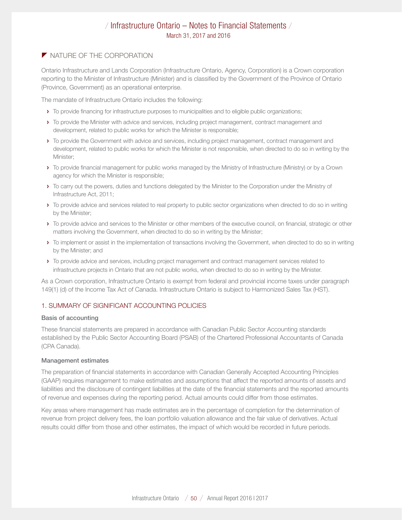# <span id="page-49-0"></span>**X** NATURE OF THE CORPORATION

Ontario Infrastructure and Lands Corporation (Infrastructure Ontario, Agency, Corporation) is a Crown corporation reporting to the Minister of Infrastructure (Minister) and is classified by the Government of the Province of Ontario (Province, Government) as an operational enterprise.

The mandate of Infrastructure Ontario includes the following:

- To provide financing for infrastructure purposes to municipalities and to eligible public organizations;
- To provide the Minister with advice and services, including project management, contract management and development, related to public works for which the Minister is responsible;
- To provide the Government with advice and services, including project management, contract management and development, related to public works for which the Minister is not responsible, when directed to do so in writing by the Minister;
- To provide financial management for public works managed by the Ministry of Infrastructure (Ministry) or by a Crown agency for which the Minister is responsible;
- To carry out the powers, duties and functions delegated by the Minister to the Corporation under the Ministry of Infrastructure Act, 2011;
- To provide advice and services related to real property to public sector organizations when directed to do so in writing by the Minister;
- To provide advice and services to the Minister or other members of the executive council, on financial, strategic or other matters involving the Government, when directed to do so in writing by the Minister;
- To implement or assist in the implementation of transactions involving the Government, when directed to do so in writing by the Minister; and
- To provide advice and services, including project management and contract management services related to infrastructure projects in Ontario that are not public works, when directed to do so in writing by the Minister.

As a Crown corporation, Infrastructure Ontario is exempt from federal and provincial income taxes under paragraph 149(1) (d) of the Income Tax Act of Canada. Infrastructure Ontario is subject to Harmonized Sales Tax (HST).

## 1. SUMMARY OF SIGNIFICANT ACCOUNTING POLICIES

## Basis of accounting

These financial statements are prepared in accordance with Canadian Public Sector Accounting standards established by the Public Sector Accounting Board (PSAB) of the Chartered Professional Accountants of Canada (CPA Canada).

## Management estimates

The preparation of financial statements in accordance with Canadian Generally Accepted Accounting Principles (GAAP) requires management to make estimates and assumptions that affect the reported amounts of assets and liabilities and the disclosure of contingent liabilities at the date of the financial statements and the reported amounts of revenue and expenses during the reporting period. Actual amounts could differ from those estimates.

Key areas where management has made estimates are in the percentage of completion for the determination of revenue from project delivery fees, the loan portfolio valuation allowance and the fair value of derivatives. Actual results could differ from those and other estimates, the impact of which would be recorded in future periods.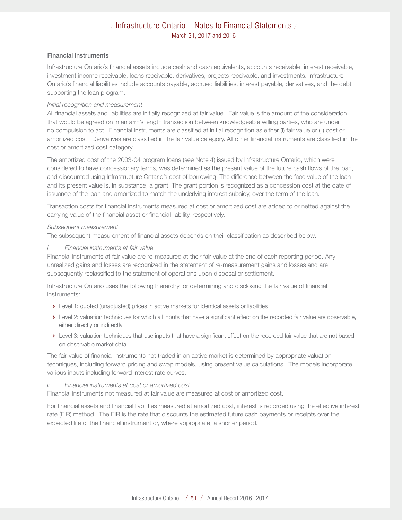# March 31, 2017 and 2016  $\angle$ Infrastructure Ontario – Notes to Financial Statements  $\angle$

## Financial instruments

Infrastructure Ontario's financial assets include cash and cash equivalents, accounts receivable, interest receivable, investment income receivable, loans receivable, derivatives, projects receivable, and investments. Infrastructure Ontario's financial liabilities include accounts payable, accrued liabilities, interest payable, derivatives, and the debt supporting the loan program.

#### *Initial recognition and measurement*

All financial assets and liabilities are initially recognized at fair value. Fair value is the amount of the consideration that would be agreed on in an arm's length transaction between knowledgeable willing parties, who are under no compulsion to act. Financial instruments are classified at initial recognition as either (i) fair value or (ii) cost or amortized cost. Derivatives are classified in the fair value category. All other financial instruments are classified in the cost or amortized cost category.

The amortized cost of the 2003-04 program loans (see Note 4) issued by Infrastructure Ontario, which were considered to have concessionary terms, was determined as the present value of the future cash flows of the loan, and discounted using Infrastructure Ontario's cost of borrowing. The difference between the face value of the loan and its present value is, in substance, a grant. The grant portion is recognized as a concession cost at the date of issuance of the loan and amortized to match the underlying interest subsidy, over the term of the loan.

Transaction costs for financial instruments measured at cost or amortized cost are added to or netted against the carrying value of the financial asset or financial liability, respectively.

#### *Subsequent measurement*

The subsequent measurement of financial assets depends on their classification as described below:

#### *i. Financial instruments at fair value*

Financial instruments at fair value are re-measured at their fair value at the end of each reporting period. Any unrealized gains and losses are recognized in the statement of re-measurement gains and losses and are subsequently reclassified to the statement of operations upon disposal or settlement.

Infrastructure Ontario uses the following hierarchy for determining and disclosing the fair value of financial instruments:

- **Level 1: quoted (unadjusted) prices in active markets for identical assets or liabilities**
- Level 2: valuation techniques for which all inputs that have a significant effect on the recorded fair value are observable, either directly or indirectly
- Level 3: valuation techniques that use inputs that have a significant effect on the recorded fair value that are not based on observable market data

The fair value of financial instruments not traded in an active market is determined by appropriate valuation techniques, including forward pricing and swap models, using present value calculations. The models incorporate various inputs including forward interest rate curves.

#### *ii. Financial instruments at cost or amortized cost*

Financial instruments not measured at fair value are measured at cost or amortized cost.

For financial assets and financial liabilities measured at amortized cost, interest is recorded using the effective interest rate (EIR) method. The EIR is the rate that discounts the estimated future cash payments or receipts over the expected life of the financial instrument or, where appropriate, a shorter period.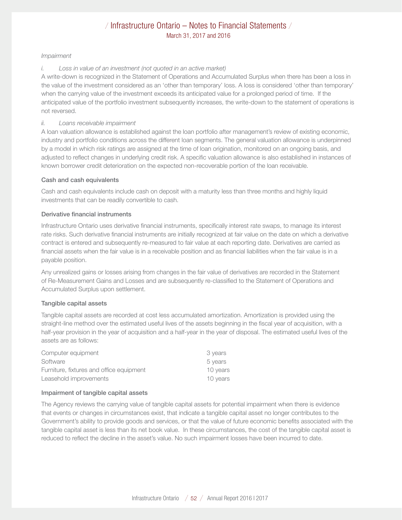# March 31, 2017 and 2016  $\angle$ Infrastructure Ontario – Notes to Financial Statements  $\angle$

## *Impairment*

## *i. Loss in value of an investment (not quoted in an active market)*

A write-down is recognized in the Statement of Operations and Accumulated Surplus when there has been a loss in the value of the investment considered as an 'other than temporary' loss. A loss is considered 'other than temporary' when the carrying value of the investment exceeds its anticipated value for a prolonged period of time. If the anticipated value of the portfolio investment subsequently increases, the write-down to the statement of operations is not reversed.

## *ii. Loans receivable impairment*

A loan valuation allowance is established against the loan portfolio after management's review of existing economic, industry and portfolio conditions across the different loan segments. The general valuation allowance is underpinned by a model in which risk ratings are assigned at the time of loan origination, monitored on an ongoing basis, and adjusted to reflect changes in underlying credit risk. A specific valuation allowance is also established in instances of known borrower credit deterioration on the expected non-recoverable portion of the loan receivable.

### Cash and cash equivalents

Cash and cash equivalents include cash on deposit with a maturity less than three months and highly liquid investments that can be readily convertible to cash.

### Derivative financial instruments

Infrastructure Ontario uses derivative financial instruments, specifically interest rate swaps, to manage its interest rate risks. Such derivative financial instruments are initially recognized at fair value on the date on which a derivative contract is entered and subsequently re-measured to fair value at each reporting date. Derivatives are carried as financial assets when the fair value is in a receivable position and as financial liabilities when the fair value is in a payable position.

Any unrealized gains or losses arising from changes in the fair value of derivatives are recorded in the Statement of Re-Measurement Gains and Losses and are subsequently re-classified to the Statement of Operations and Accumulated Surplus upon settlement.

#### Tangible capital assets

Tangible capital assets are recorded at cost less accumulated amortization. Amortization is provided using the straight-line method over the estimated useful lives of the assets beginning in the fiscal year of acquisition, with a half-year provision in the year of acquisition and a half-year in the year of disposal. The estimated useful lives of the assets are as follows:

| Computer equipment                       | 3 years  |
|------------------------------------------|----------|
| Software                                 | 5 vears  |
| Furniture, fixtures and office equipment | 10 years |
| Leasehold improvements                   | 10 years |

## Impairment of tangible capital assets

The Agency reviews the carrying value of tangible capital assets for potential impairment when there is evidence that events or changes in circumstances exist, that indicate a tangible capital asset no longer contributes to the Government's ability to provide goods and services, or that the value of future economic benefits associated with the tangible capital asset is less than its net book value. In these circumstances, the cost of the tangible capital asset is reduced to reflect the decline in the asset's value. No such impairment losses have been incurred to date.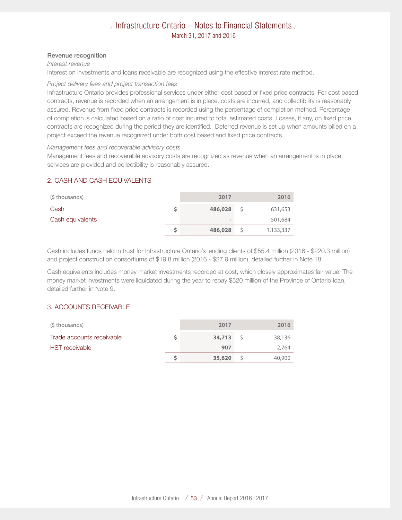# March 31, 2017 and 2016  $\angle$ Infrastructure Ontario – Notes to Financial Statements  $\angle$

## Revenue recognition

*Interest revenue* 

Interest on investments and loans receivable are recognized using the effective interest rate method.

#### *Project delivery fees and project transaction fees*

Infrastructure Ontario provides professional services under either cost based or fixed price contracts. For cost based contracts, revenue is recorded when an arrangement is in place, costs are incurred, and collectibility is reasonably assured. Revenue from fixed price contracts is recorded using the percentage of completion method. Percentage of completion is calculated based on a ratio of cost incurred to total estimated costs. Losses, if any, on fixed price contracts are recognized during the period they are identified. Deferred revenue is set up when amounts billed on a project exceed the revenue recognized under both cost based and fixed price contracts.

## *Management fees and recoverable advisory costs*

Management fees and recoverable advisory costs are recognized as revenue when an arrangement is in place, services are provided and collectibility is reasonably assured.

# 2. CASH AND CASH EQUIVALENTS

| (\$ thousands)   | 2017    | 2016      |
|------------------|---------|-----------|
| Cash             | 486,028 | 631,653   |
| Cash equivalents |         | 501,684   |
|                  | 486,028 | 1,133,337 |

Cash includes funds held in trust for Infrastructure Ontario's lending clients of \$55.4 million (2016 - \$220.3 million) and project construction consortiums of \$19.8 million (2016 - \$27.9 million), detailed further in Note 18.

Cash equivalents includes money market investments recorded at cost, which closely approximates fair value. The money market investments were liquidated during the year to repay \$520 million of the Province of Ontario loan, detailed further in Note 9.

# 3. ACCOUNTS RECEIVABLE

| (\$ thousands)            | 2017   | 2016   |
|---------------------------|--------|--------|
| Trade accounts receivable | 34,713 | 38,136 |
| <b>HST</b> receivable     | 907    | 2,764  |
|                           | 35,620 | 40,900 |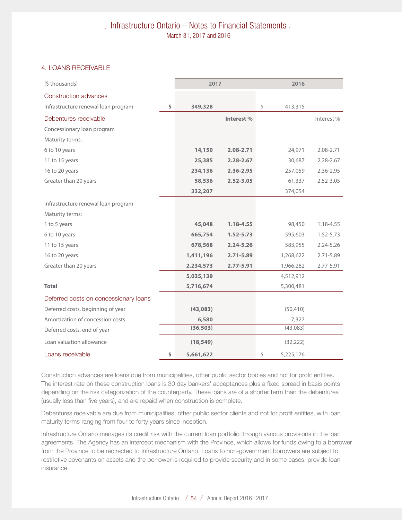# March 31, 2017 and 2016  $\ell$  Infrastructure Ontario – Notes to Financial Statements  $\ell$

## 4. LOANS RECEIVABLE

| (\$ thousands)                        | 2017            |               | 2016            |               |
|---------------------------------------|-----------------|---------------|-----------------|---------------|
| <b>Construction advances</b>          |                 |               |                 |               |
| Infrastructure renewal loan program   | \$<br>349,328   |               | \$<br>413,315   |               |
| Debentures receivable                 |                 | Interest%     |                 | Interest %    |
| Concessionary loan program            |                 |               |                 |               |
| Maturity terms:                       |                 |               |                 |               |
| 6 to 10 years                         | 14,150          | 2.08-2.71     | 24,971          | 2.08-2.71     |
| 11 to 15 years                        | 25,385          | $2.28 - 2.67$ | 30,687          | 2.28-2.67     |
| 16 to 20 years                        | 234,136         | 2.36-2.95     | 257,059         | 2.36-2.95     |
| Greater than 20 years                 | 58,536          | $2.52 - 3.05$ | 61,337          | $2.52 - 3.05$ |
|                                       | 332,207         |               | 374,054         |               |
| Infrastructure renewal loan program   |                 |               |                 |               |
| Maturity terms:                       |                 |               |                 |               |
| 1 to 5 years                          | 45,048          | $1.18 - 4.55$ | 98,450          | 1.18-4.55     |
| 6 to 10 years                         | 665,754         | $1.52 - 5.73$ | 595,603         | $1.52 - 5.73$ |
| 11 to 15 years                        | 678,568         | $2.24 - 5.26$ | 583,955         | 2.24-5.26     |
| 16 to 20 years                        | 1,411,196       | $2.71 - 5.89$ | 1,268,622       | $2.71 - 5.89$ |
| Greater than 20 years                 | 2,234,573       | 2.77-5.91     | 1,966,282       | 2.77-5.91     |
|                                       | 5,035,139       |               | 4,512,912       |               |
| <b>Total</b>                          | 5,716,674       |               | 5,300,481       |               |
| Deferred costs on concessionary loans |                 |               |                 |               |
| Deferred costs, beginning of year     | (43, 083)       |               | (50, 410)       |               |
| Amortization of concession costs      | 6,580           |               | 7,327           |               |
| Deferred costs, end of year           | (36, 503)       |               | (43,083)        |               |
| Loan valuation allowance              | (18, 549)       |               | (32, 222)       |               |
| Loans receivable                      | \$<br>5,661,622 |               | \$<br>5,225,176 |               |

Construction advances are loans due from municipalities, other public sector bodies and not for profit entities. The interest rate on these construction loans is 30 day bankers' acceptances plus a fixed spread in basis points depending on the risk categorization of the counterparty. These loans are of a shorter term than the debentures (usually less than five years), and are repaid when construction is complete.

Debentures receivable are due from municipalities, other public sector clients and not for profit entities, with loan maturity terms ranging from four to forty years since inception.

Infrastructure Ontario manages its credit risk with the current loan portfolio through various provisions in the loan agreements. The Agency has an intercept mechanism with the Province, which allows for funds owing to a borrower from the Province to be redirected to Infrastructure Ontario. Loans to non-government borrowers are subject to restrictive covenants on assets and the borrower is required to provide security and in some cases, provide loan insurance.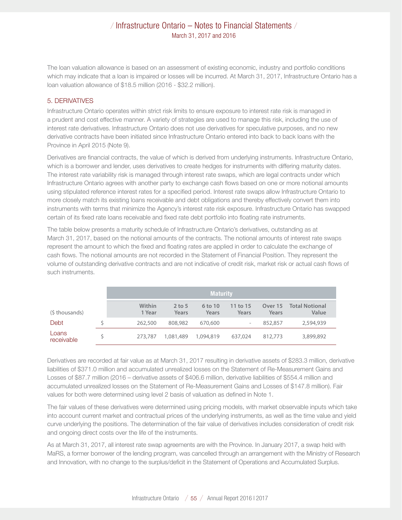The loan valuation allowance is based on an assessment of existing economic, industry and portfolio conditions which may indicate that a loan is impaired or losses will be incurred. At March 31, 2017, Infrastructure Ontario has a loan valuation allowance of \$18.5 million (2016 - \$32.2 million).

# 5. DERIVATIVES

Infrastructure Ontario operates within strict risk limits to ensure exposure to interest rate risk is managed in a prudent and cost effective manner. A variety of strategies are used to manage this risk, including the use of interest rate derivatives. Infrastructure Ontario does not use derivatives for speculative purposes, and no new derivative contracts have been initiated since Infrastructure Ontario entered into back to back loans with the Province in April 2015 (Note 9).

Derivatives are financial contracts, the value of which is derived from underlying instruments. Infrastructure Ontario, which is a borrower and lender, uses derivatives to create hedges for instruments with differing maturity dates. The interest rate variability risk is managed through interest rate swaps, which are legal contracts under which Infrastructure Ontario agrees with another party to exchange cash flows based on one or more notional amounts using stipulated reference interest rates for a specified period. Interest rate swaps allow Infrastructure Ontario to more closely match its existing loans receivable and debt obligations and thereby effectively convert them into instruments with terms that minimize the Agency's interest rate risk exposure. Infrastructure Ontario has swapped certain of its fixed rate loans receivable and fixed rate debt portfolio into floating rate instruments.

The table below presents a maturity schedule of Infrastructure Ontario's derivatives, outstanding as at March 31, 2017, based on the notional amounts of the contracts. The notional amounts of interest rate swaps represent the amount to which the fixed and floating rates are applied in order to calculate the exchange of cash flows. The notional amounts are not recorded in the Statement of Financial Position. They represent the volume of outstanding derivative contracts and are not indicative of credit risk, market risk or actual cash flows of such instruments.

|                     | <b>Maturity</b>  |                   |                  |                          |                  |                                |  |  |  |
|---------------------|------------------|-------------------|------------------|--------------------------|------------------|--------------------------------|--|--|--|
| (\$ thousands)      | Within<br>1 Year | $2$ to 5<br>Years | 6 to 10<br>Years | 11 to 15<br>Years        | Over 15<br>Years | <b>Total Notional</b><br>Value |  |  |  |
| Debt                | 262,500          | 808,982           | 670,600          | $\overline{\phantom{a}}$ | 852,857          | 2,594,939                      |  |  |  |
| Loans<br>receivable | 273,787          | 1,081,489         | 1,094,819        | 637,024                  | 812,773          | 3,899,892                      |  |  |  |

Derivatives are recorded at fair value as at March 31, 2017 resulting in derivative assets of \$283.3 million, derivative liabilities of \$371.0 million and accumulated unrealized losses on the Statement of Re-Measurement Gains and Losses of \$87.7 million (2016 – derivative assets of \$406.6 million, derivative liabilities of \$554.4 million and accumulated unrealized losses on the Statement of Re-Measurement Gains and Losses of \$147.8 million). Fair values for both were determined using level 2 basis of valuation as defined in Note 1.

The fair values of these derivatives were determined using pricing models, with market observable inputs which take into account current market and contractual prices of the underlying instruments, as well as the time value and yield curve underlying the positions. The determination of the fair value of derivatives includes consideration of credit risk and ongoing direct costs over the life of the instruments.

As at March 31, 2017, all interest rate swap agreements are with the Province. In January 2017, a swap held with MaRS, a former borrower of the lending program, was cancelled through an arrangement with the Ministry of Research and Innovation, with no change to the surplus/deficit in the Statement of Operations and Accumulated Surplus.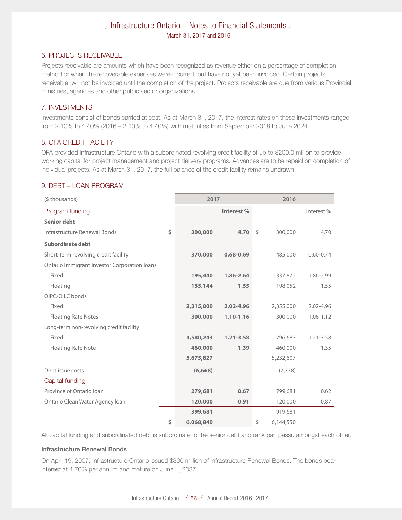# 6. PROJECTS RECEIVABLE

Projects receivable are amounts which have been recognized as revenue either on a percentage of completion method or when the recoverable expenses were incurred, but have not yet been invoiced. Certain projects receivable, will not be invoiced until the completion of the project. Projects receivable are due from various Provincial ministries, agencies and other public sector organizations.

# 7. INVESTMENTS

Investments consist of bonds carried at cost. As at March 31, 2017, the interest rates on these investments ranged from 2.10% to 4.40% (2016 – 2.10% to 4.40%) with maturities from September 2018 to June 2024.

# 8. OFA CREDIT FACILITY

OFA provided Infrastructure Ontario with a subordinated revolving credit facility of up to \$200.0 million to provide working capital for project management and project delivery programs. Advances are to be repaid on completion of individual projects. As at March 31, 2017, the full balance of the credit facility remains undrawn.

# 9. DEBT – LOAN PROGRAM

| (\$ thousands)                               | 2017<br>2016    |               |                    |               |
|----------------------------------------------|-----------------|---------------|--------------------|---------------|
| Program funding                              |                 | Interest%     |                    | Interest%     |
| <b>Senior debt</b>                           |                 |               |                    |               |
| Infrastructure Renewal Bonds                 | \$<br>300,000   | 4.70          | $\zeta$<br>300,000 | 4.70          |
| Subordinate debt                             |                 |               |                    |               |
| Short-term revolving credit facility         | 370,000         | $0.68 - 0.69$ | 485,000            | $0.60 - 0.74$ |
| Ontario Immigrant Investor Corporation Ioans |                 |               |                    |               |
| Fixed                                        | 195,440         | 1.86-2.64     | 337,872            | 1.86-2.99     |
| Floating                                     | 155,144         | 1.55          | 198,052            | 1.55          |
| OIPC/OILC bonds                              |                 |               |                    |               |
| Fixed                                        | 2,315,000       | 2.02-4.96     | 2,355,000          | $2.02 - 4.96$ |
| <b>Floating Rate Notes</b>                   | 300,000         | $1.10 - 1.16$ | 300,000            | $1.06 - 1.12$ |
| Long-term non-revolving credit facility      |                 |               |                    |               |
| Fixed                                        | 1,580,243       | $1.21 - 3.58$ | 796,683            | $1.21 - 3.58$ |
| Floating Rate Note                           | 460,000         | 1.39          | 460,000            | 1.35          |
|                                              | 5,675,827       |               | 5,232,607          |               |
| Debt issue costs                             | (6,668)         |               | (7, 738)           |               |
| Capital funding                              |                 |               |                    |               |
| Province of Ontario Ioan                     | 279,681         | 0.67          | 799,681            | 0.62          |
| Ontario Clean Water Agency Ioan              | 120,000         | 0.91          | 120,000            | 0.87          |
|                                              | 399,681         |               | 919,681            |               |
|                                              | \$<br>6,068,840 |               | \$<br>6,144,550    |               |

All capital funding and subordinated debt is subordinate to the senior debt and rank pari passu amongst each other.

## Infrastructure Renewal Bonds

On April 19, 2007, Infrastructure Ontario issued \$300 million of Infrastructure Renewal Bonds. The bonds bear interest at 4.70% per annum and mature on June 1, 2037.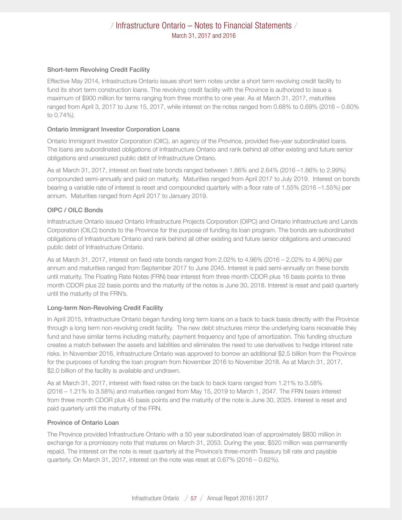## Short-term Revolving Credit Facility

Effective May 2014, Infrastructure Ontario issues short term notes under a short term revolving credit facility to fund its short term construction loans. The revolving credit facility with the Province is authorized to issue a maximum of \$900 million for terms ranging from three months to one year. As at March 31, 2017, maturities ranged from April 3, 2017 to June 15, 2017, while interest on the notes ranged from 0.68% to 0.69% (2016 – 0.60% to 0.74%).

## Ontario Immigrant Investor Corporation Loans

Ontario Immigrant Investor Corporation (OIIC), an agency of the Province, provided five-year subordinated loans. The loans are subordinated obligations of Infrastructure Ontario and rank behind all other existing and future senior obligations and unsecured public debt of Infrastructure Ontario.

As at March 31, 2017, interest on fixed rate bonds ranged between 1.86% and 2.64% (2016 –1.86% to 2.99%) compounded semi-annually and paid on maturity. Maturities ranged from April 2017 to July 2019. Interest on bonds bearing a variable rate of interest is reset and compounded quarterly with a floor rate of 1.55% (2016 –1.55%) per annum. Maturities ranged from April 2017 to January 2019.

# OIPC / OILC Bonds

Infrastructure Ontario issued Ontario Infrastructure Projects Corporation (OIPC) and Ontario Infrastructure and Lands Corporation (OILC) bonds to the Province for the purpose of funding its loan program. The bonds are subordinated obligations of Infrastructure Ontario and rank behind all other existing and future senior obligations and unsecured public debt of Infrastructure Ontario.

As at March 31, 2017, interest on fixed rate bonds ranged from 2.02% to 4.96% (2016 – 2.02% to 4.96%) per annum and maturities ranged from September 2017 to June 2045. Interest is paid semi-annually on these bonds until maturity. The Floating Rate Notes (FRN) bear interest from three month CDOR plus 16 basis points to three month CDOR plus 22 basis points and the maturity of the notes is June 30, 2018. Interest is reset and paid quarterly until the maturity of the FRN's.

# Long-term Non-Revolving Credit Facility

In April 2015, Infrastructure Ontario began funding long term loans on a back to back basis directly with the Province through a long term non-revolving credit facility. The new debt structures mirror the underlying loans receivable they fund and have similar terms including maturity, payment frequency and type of amortization. This funding structure creates a match between the assets and liabilities and eliminates the need to use derivatives to hedge interest rate risks. In November 2016, Infrastructure Ontario was approved to borrow an additional \$2.5 billion from the Province for the purposes of funding the loan program from November 2016 to November 2018. As at March 31, 2017, \$2.0 billion of the facility is available and undrawn.

As at March 31, 2017, interest with fixed rates on the back to back loans ranged from 1.21% to 3.58% (2016 – 1.21% to 3.58%) and maturities ranged from May 15, 2019 to March 1, 2047. The FRN bears interest from three month CDOR plus 45 basis points and the maturity of the note is June 30, 2025. Interest is reset and paid quarterly until the maturity of the FRN.

## Province of Ontario Loan

The Province provided Infrastructure Ontario with a 50 year subordinated loan of approximately \$800 million in exchange for a promissory note that matures on March 31, 2053. During the year, \$520 million was permanently repaid. The interest on the note is reset quarterly at the Province's three-month Treasury bill rate and payable quarterly. On March 31, 2017, interest on the note was reset at 0.67% (2016 – 0.62%).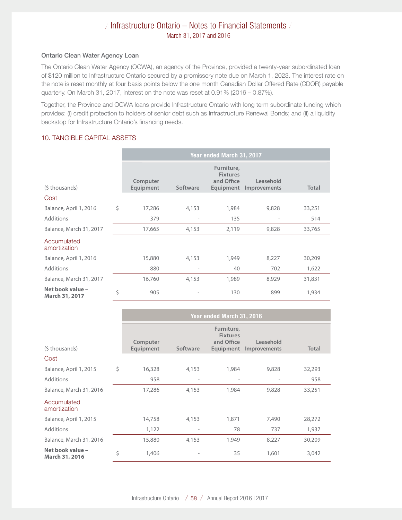## Ontario Clean Water Agency Loan

The Ontario Clean Water Agency (OCWA), an agency of the Province, provided a twenty-year subordinated loan of \$120 million to Infrastructure Ontario secured by a promissory note due on March 1, 2023. The interest rate on the note is reset monthly at four basis points below the one month Canadian Dollar Offered Rate (CDOR) payable quarterly. On March 31, 2017, interest on the note was reset at 0.91% (2016 – 0.87%).

Together, the Province and OCWA loans provide Infrastructure Ontario with long term subordinate funding which provides: (i) credit protection to holders of senior debt such as Infrastructure Renewal Bonds; and (ii) a liquidity backstop for Infrastructure Ontario's financing needs.

## 10. TANGIBLE CAPITAL ASSETS

|                                    | Year ended March 31, 2017 |                          |                                                          |                           |              |  |  |  |  |
|------------------------------------|---------------------------|--------------------------|----------------------------------------------------------|---------------------------|--------------|--|--|--|--|
| (\$ thousands)                     | Computer<br>Equipment     | Software                 | Furniture,<br><b>Fixtures</b><br>and Office<br>Equipment | Leasehold<br>Improvements | <b>Total</b> |  |  |  |  |
| Cost                               |                           |                          |                                                          |                           |              |  |  |  |  |
| Balance, April 1, 2016             | \$<br>17,286              | 4,153                    | 1,984                                                    | 9,828                     | 33,251       |  |  |  |  |
| Additions                          | 379                       | $\overline{\phantom{a}}$ | 135                                                      | $\qquad \qquad -$         | 514          |  |  |  |  |
| Balance, March 31, 2017            | 17,665                    | 4,153                    | 2,119                                                    | 9,828                     | 33,765       |  |  |  |  |
| Accumulated<br>amortization        |                           |                          |                                                          |                           |              |  |  |  |  |
| Balance, April 1, 2016             | 15,880                    | 4,153                    | 1,949                                                    | 8,227                     | 30,209       |  |  |  |  |
| Additions                          | 880                       |                          | 40                                                       | 702                       | 1,622        |  |  |  |  |
| Balance, March 31, 2017            | 16,760                    | 4,153                    | 1,989                                                    | 8,929                     | 31,831       |  |  |  |  |
| Net book value -<br>March 31, 2017 | \$<br>905                 |                          | 130                                                      | 899                       | 1,934        |  |  |  |  |

|                                    | Year ended March 31, 2016 |                          |                                                          |                           |        |  |  |  |
|------------------------------------|---------------------------|--------------------------|----------------------------------------------------------|---------------------------|--------|--|--|--|
| (\$ thousands)                     | Computer<br>Equipment     | Software                 | Furniture,<br><b>Fixtures</b><br>and Office<br>Equipment | Leasehold<br>Improvements | Total  |  |  |  |
| Cost                               |                           |                          |                                                          |                           |        |  |  |  |
| Balance, April 1, 2015             | \$<br>16,328              | 4,153                    | 1,984                                                    | 9,828                     | 32,293 |  |  |  |
| Additions                          | 958                       | $\overline{\phantom{a}}$ | $\overline{\phantom{a}}$                                 | $\overline{\phantom{a}}$  | 958    |  |  |  |
| Balance, March 31, 2016            | 17,286                    | 4,153                    | 1,984                                                    | 9,828                     | 33,251 |  |  |  |
| Accumulated<br>amortization        |                           |                          |                                                          |                           |        |  |  |  |
| Balance, April 1, 2015             | 14,758                    | 4,153                    | 1,871                                                    | 7,490                     | 28,272 |  |  |  |
| Additions                          | 1,122                     |                          | 78                                                       | 737                       | 1,937  |  |  |  |
| Balance, March 31, 2016            | 15,880                    | 4,153                    | 1,949                                                    | 8,227                     | 30,209 |  |  |  |
| Net book value -<br>March 31, 2016 | \$<br>1,406               |                          | 35                                                       | 1,601                     | 3,042  |  |  |  |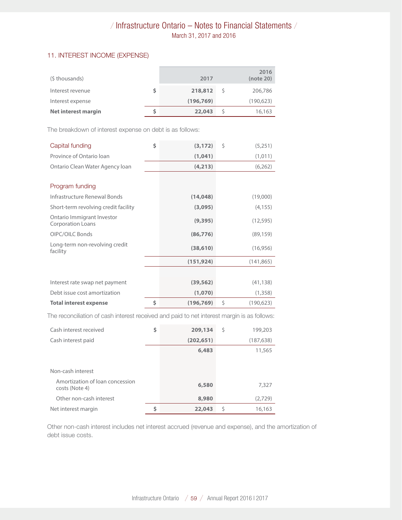# $\sqrt{}$  Infrastructure Ontario – Notes to Financial Statements  $\sqrt{}$ March 31, 2017 and 2016

# 11. INTEREST INCOME (EXPENSE)

| (\$ thousands)             | 2017       | 2016<br>(note 20) |
|----------------------------|------------|-------------------|
| Interest revenue           | 218,812    | 206,786           |
| Interest expense           | (196, 769) | (190, 623)        |
| <b>Net interest margin</b> | 22,043     | 16,163            |

The breakdown of interest expense on debt is as follows:

| Capital funding                                        | \$<br>(3, 172)   | \$ | (5,251)    |
|--------------------------------------------------------|------------------|----|------------|
| Province of Ontario Joan                               | (1,041)          |    | (1,011)    |
| Ontario Clean Water Agency Ioan                        | (4, 213)         |    | (6,262)    |
|                                                        |                  |    |            |
| Program funding                                        |                  |    |            |
| Infrastructure Renewal Bonds                           | (14, 048)        |    | (19,000)   |
| Short-term revolving credit facility                   | (3,095)          |    | (4, 155)   |
| Ontario Immigrant Investor<br><b>Corporation Loans</b> | (9,395)          |    | (12, 595)  |
| OIPC/OILC Bonds                                        | (86, 776)        |    | (89, 159)  |
| Long-term non-revolving credit<br>facility             | (38, 610)        |    | (16, 956)  |
|                                                        | (151, 924)       |    | (141, 865) |
|                                                        |                  |    |            |
| Interest rate swap net payment                         | (39, 562)        |    | (41, 138)  |
| Debt issue cost amortization                           | (1,070)          |    | (1,358)    |
| <b>Total interest expense</b>                          | \$<br>(196, 769) | Ś. | (190, 623) |
|                                                        |                  |    |            |

The reconciliation of cash interest received and paid to net interest margin is as follows:

| Cash interest received                            | \$ | 209,134    | Ŝ | 199,203    |
|---------------------------------------------------|----|------------|---|------------|
| Cash interest paid                                |    | (202, 651) |   | (187, 638) |
|                                                   |    | 6,483      |   | 11,565     |
|                                                   |    |            |   |            |
| Non-cash interest                                 |    |            |   |            |
| Amortization of loan concession<br>costs (Note 4) |    | 6,580      |   | 7.327      |
| Other non-cash interest                           |    | 8,980      |   | (2,729)    |
| Net interest margin                               | Ś  | 22,043     | Ŝ | 16,163     |

Other non-cash interest includes net interest accrued (revenue and expense), and the amortization of debt issue costs.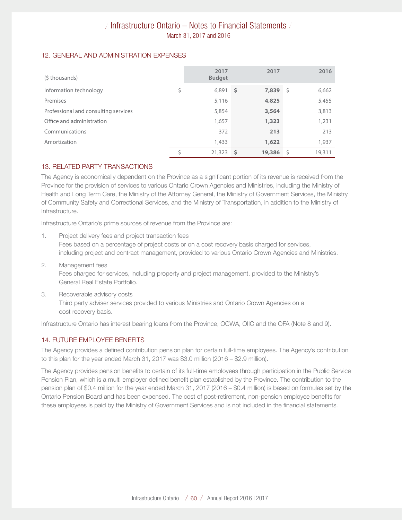# 12. GENERAL AND ADMINISTRATION EXPENSES

| (\$ thousands)                       | 2017<br><b>Budget</b> | 2017        |     | 2016   |
|--------------------------------------|-----------------------|-------------|-----|--------|
| Information technology               | \$<br>6,891           | 7,839<br>S  | - S | 6,662  |
| Premises                             | 5,116                 | 4,825       |     | 5,455  |
| Professional and consulting services | 5,854                 | 3,564       |     | 3,813  |
| Office and administration            | 1,657                 | 1,323       |     | 1,231  |
| Communications                       | 372                   | 213         |     | 213    |
| Amortization                         | 1,433                 | 1,622       |     | 1,937  |
|                                      | 21,323                | 19,386<br>S |     | 19,311 |

# 13. RELATED PARTY TRANSACTIONS

The Agency is economically dependent on the Province as a significant portion of its revenue is received from the Province for the provision of services to various Ontario Crown Agencies and Ministries, including the Ministry of Health and Long Term Care, the Ministry of the Attorney General, the Ministry of Government Services, the Ministry of Community Safety and Correctional Services, and the Ministry of Transportation, in addition to the Ministry of Infrastructure.

Infrastructure Ontario's prime sources of revenue from the Province are:

- 1. Project delivery fees and project transaction fees Fees based on a percentage of project costs or on a cost recovery basis charged for services, including project and contract management, provided to various Ontario Crown Agencies and Ministries.
- 2. Management fees Fees charged for services, including property and project management, provided to the Ministry's General Real Estate Portfolio.
- 3. Recoverable advisory costs Third party adviser services provided to various Ministries and Ontario Crown Agencies on a cost recovery basis.

Infrastructure Ontario has interest bearing loans from the Province, OCWA, OIIC and the OFA (Note 8 and 9).

# 14. FUTURE EMPLOYEE BENEFITS

The Agency provides a defined contribution pension plan for certain full-time employees. The Agency's contribution to this plan for the year ended March 31, 2017 was \$3.0 million (2016 – \$2.9 million).

The Agency provides pension benefits to certain of its full-time employees through participation in the Public Service Pension Plan, which is a multi employer defined benefit plan established by the Province. The contribution to the pension plan of \$0.4 million for the year ended March 31, 2017 (2016 – \$0.4 million) is based on formulas set by the Ontario Pension Board and has been expensed. The cost of post-retirement, non-pension employee benefits for these employees is paid by the Ministry of Government Services and is not included in the financial statements.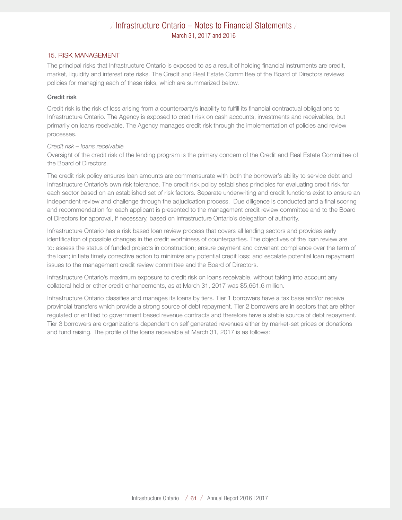# 15. RISK MANAGEMENT

The principal risks that Infrastructure Ontario is exposed to as a result of holding financial instruments are credit, market, liquidity and interest rate risks. The Credit and Real Estate Committee of the Board of Directors reviews policies for managing each of these risks, which are summarized below.

## Credit risk

Credit risk is the risk of loss arising from a counterparty's inability to fulfill its financial contractual obligations to Infrastructure Ontario. The Agency is exposed to credit risk on cash accounts, investments and receivables, but primarily on loans receivable. The Agency manages credit risk through the implementation of policies and review processes.

### *Credit risk – loans receivable*

Oversight of the credit risk of the lending program is the primary concern of the Credit and Real Estate Committee of the Board of Directors.

The credit risk policy ensures loan amounts are commensurate with both the borrower's ability to service debt and Infrastructure Ontario's own risk tolerance. The credit risk policy establishes principles for evaluating credit risk for each sector based on an established set of risk factors. Separate underwriting and credit functions exist to ensure an independent review and challenge through the adjudication process. Due diligence is conducted and a final scoring and recommendation for each applicant is presented to the management credit review committee and to the Board of Directors for approval, if necessary, based on Infrastructure Ontario's delegation of authority.

Infrastructure Ontario has a risk based loan review process that covers all lending sectors and provides early identification of possible changes in the credit worthiness of counterparties. The objectives of the loan review are to: assess the status of funded projects in construction; ensure payment and covenant compliance over the term of the loan; initiate timely corrective action to minimize any potential credit loss; and escalate potential loan repayment issues to the management credit review committee and the Board of Directors.

Infrastructure Ontario's maximum exposure to credit risk on loans receivable, without taking into account any collateral held or other credit enhancements, as at March 31, 2017 was \$5,661.6 million.

Infrastructure Ontario classifies and manages its loans by tiers. Tier 1 borrowers have a tax base and/or receive provincial transfers which provide a strong source of debt repayment. Tier 2 borrowers are in sectors that are either regulated or entitled to government based revenue contracts and therefore have a stable source of debt repayment. Tier 3 borrowers are organizations dependent on self generated revenues either by market-set prices or donations and fund raising. The profile of the loans receivable at March 31, 2017 is as follows: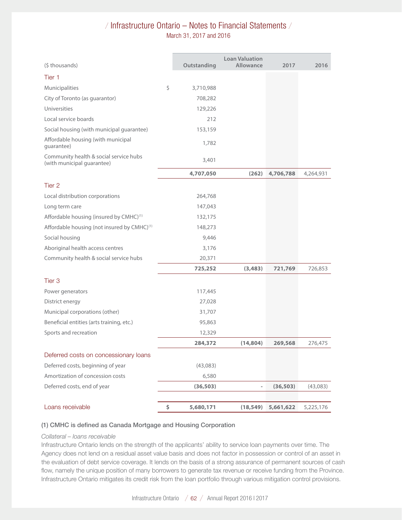| (\$ thousands)                                                       | Outstanding     | <b>Loan Valuation</b><br>Allowance | 2017      | 2016      |
|----------------------------------------------------------------------|-----------------|------------------------------------|-----------|-----------|
| Tier 1                                                               |                 |                                    |           |           |
| Municipalities                                                       | \$<br>3,710,988 |                                    |           |           |
| City of Toronto (as guarantor)                                       | 708,282         |                                    |           |           |
| Universities                                                         | 129,226         |                                    |           |           |
| Local service boards                                                 | 212             |                                    |           |           |
| Social housing (with municipal guarantee)                            | 153,159         |                                    |           |           |
| Affordable housing (with municipal<br>guarantee)                     | 1,782           |                                    |           |           |
| Community health & social service hubs<br>(with municipal guarantee) | 3,401           |                                    |           |           |
|                                                                      | 4,707,050       | (262)                              | 4,706,788 | 4,264,931 |
| Tier 2                                                               |                 |                                    |           |           |
| Local distribution corporations                                      | 264,768         |                                    |           |           |
| Long term care                                                       | 147,043         |                                    |           |           |
| Affordable housing (insured by CMHC) <sup>(1)</sup>                  | 132,175         |                                    |           |           |
| Affordable housing (not insured by CMHC) <sup>(1)</sup>              | 148,273         |                                    |           |           |
| Social housing                                                       | 9,446           |                                    |           |           |
| Aboriginal health access centres                                     | 3,176           |                                    |           |           |
| Community health & social service hubs                               | 20,371          |                                    |           |           |
|                                                                      | 725,252         | (3, 483)                           | 721,769   | 726,853   |
| Tier 3                                                               |                 |                                    |           |           |
| Power generators                                                     | 117,445         |                                    |           |           |
| District energy                                                      | 27,028          |                                    |           |           |
| Municipal corporations (other)                                       | 31,707          |                                    |           |           |
| Beneficial entities (arts training, etc.)                            | 95,863          |                                    |           |           |
| Sports and recreation                                                | 12,329          |                                    |           |           |
|                                                                      | 284,372         | (14, 804)                          | 269,568   | 276,475   |
| Deferred costs on concessionary loans                                |                 |                                    |           |           |
| Deferred costs, beginning of year                                    | (43,083)        |                                    |           |           |
| Amortization of concession costs                                     | 6,580           |                                    |           |           |
| Deferred costs, end of year                                          | (36, 503)       |                                    | (36, 503) | (43,083)  |
|                                                                      |                 |                                    |           |           |
| Loans receivable                                                     | \$<br>5,680,171 | (18, 549)                          | 5,661,622 | 5,225,176 |

# (1) CMHC is defined as Canada Mortgage and Housing Corporation

## *Collateral – loans receivable*

Infrastructure Ontario lends on the strength of the applicants' ability to service loan payments over time. The Agency does not lend on a residual asset value basis and does not factor in possession or control of an asset in the evaluation of debt service coverage. It lends on the basis of a strong assurance of permanent sources of cash flow, namely the unique position of many borrowers to generate tax revenue or receive funding from the Province. Infrastructure Ontario mitigates its credit risk from the loan portfolio through various mitigation control provisions.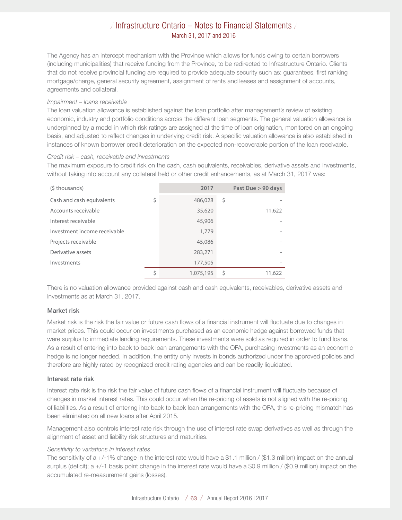The Agency has an intercept mechanism with the Province which allows for funds owing to certain borrowers (including municipalities) that receive funding from the Province, to be redirected to Infrastructure Ontario. Clients that do not receive provincial funding are required to provide adequate security such as: guarantees, first ranking mortgage/charge, general security agreement, assignment of rents and leases and assignment of accounts, agreements and collateral.

## *Impairment – loans receivable*

The loan valuation allowance is established against the loan portfolio after management's review of existing economic, industry and portfolio conditions across the different loan segments. The general valuation allowance is underpinned by a model in which risk ratings are assigned at the time of loan origination, monitored on an ongoing basis, and adjusted to reflect changes in underlying credit risk. A specific valuation allowance is also established in instances of known borrower credit deterioration on the expected non-recoverable portion of the loan receivable.

### *Credit risk – cash, receivable and investments*

The maximum exposure to credit risk on the cash, cash equivalents, receivables, derivative assets and investments, without taking into account any collateral held or other credit enhancements, as at March 31, 2017 was:

| (\$thousands)                |   | 2017      |   | Past Due > 90 days |
|------------------------------|---|-----------|---|--------------------|
| Cash and cash equivalents    | Ś | 486,028   | Ś |                    |
| Accounts receivable          |   | 35,620    |   | 11,622             |
| Interest receivable          |   | 45,906    |   |                    |
| Investment income receivable |   | 1,779     |   |                    |
| Projects receivable          |   | 45,086    |   |                    |
| Derivative assets            |   | 283,271   |   |                    |
| Investments                  |   | 177,505   |   |                    |
|                              | Ś | 1,075,195 | S | 11,622             |

There is no valuation allowance provided against cash and cash equivalents, receivables, derivative assets and investments as at March 31, 2017.

## Market risk

Market risk is the risk the fair value or future cash flows of a financial instrument will fluctuate due to changes in market prices. This could occur on investments purchased as an economic hedge against borrowed funds that were surplus to immediate lending requirements. These investments were sold as required in order to fund loans. As a result of entering into back to back loan arrangements with the OFA, purchasing investments as an economic hedge is no longer needed. In addition, the entity only invests in bonds authorized under the approved policies and therefore are highly rated by recognized credit rating agencies and can be readily liquidated.

## Interest rate risk

Interest rate risk is the risk the fair value of future cash flows of a financial instrument will fluctuate because of changes in market interest rates. This could occur when the re-pricing of assets is not aligned with the re-pricing of liabilities. As a result of entering into back to back loan arrangements with the OFA, this re-pricing mismatch has been eliminated on all new loans after April 2015.

Management also controls interest rate risk through the use of interest rate swap derivatives as well as through the alignment of asset and liability risk structures and maturities.

#### *Sensitivity to variations in interest rates*

The sensitivity of a +/-1% change in the interest rate would have a \$1.1 million / (\$1.3 million) impact on the annual surplus (deficit); a +/-1 basis point change in the interest rate would have a \$0.9 million / (\$0.9 million) impact on the accumulated re-measurement gains (losses).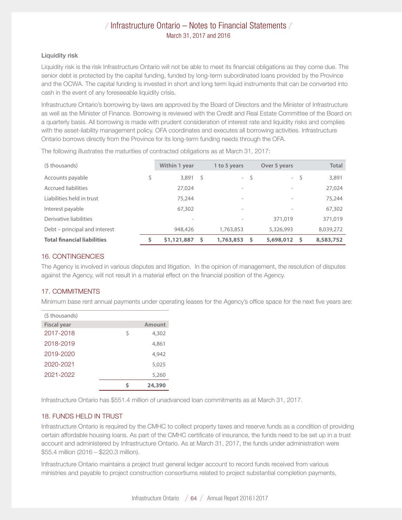## Liquidity risk

Liquidity risk is the risk Infrastructure Ontario will not be able to meet its financial obligations as they come due. The senior debt is protected by the capital funding, funded by long-term subordinated loans provided by the Province and the OCWA. The capital funding is invested in short and long term liquid instruments that can be converted into cash in the event of any foreseeable liquidity crisis.

Infrastructure Ontario's borrowing by-laws are approved by the Board of Directors and the Minister of Infrastructure as well as the Minister of Finance. Borrowing is reviewed with the Credit and Real Estate Committee of the Board on a quarterly basis. All borrowing is made with prudent consideration of interest rate and liquidity risks and complies with the asset-liability management policy. OFA coordinates and executes all borrowing activities. Infrastructure Ontario borrows directly from the Province for its long-term funding needs through the OFA.

| (\$ thousands)                     |    | Within 1 year            |   | 1 to 5 years             |   | Over 5 years             |   | Total     |
|------------------------------------|----|--------------------------|---|--------------------------|---|--------------------------|---|-----------|
| Accounts payable                   | Ś  | 3,891                    | S | $\sim$                   | Ŝ | $-5$                     |   | 3,891     |
| Accrued liabilities                |    | 27,024                   |   | $\overline{\phantom{a}}$ |   | $\overline{\phantom{0}}$ |   | 27,024    |
| Liabilities held in trust          |    | 75,244                   |   | $\overline{\phantom{a}}$ |   | $\qquad \qquad -$        |   | 75,244    |
| Interest payable                   |    | 67,302                   |   | $\overline{\phantom{a}}$ |   | $\overline{\phantom{a}}$ |   | 67,302    |
| Derivative liabilities             |    | $\overline{\phantom{a}}$ |   | $\overline{\phantom{a}}$ |   | 371,019                  |   | 371,019   |
| Debt – principal and interest      |    | 948,426                  |   | 1,763,853                |   | 5,326,993                |   | 8,039,272 |
| <b>Total financial liabilities</b> | \$ | \$1,121,887              |   | 1,763,853                | S | 5,698,012                | s | 8,583,752 |

The following illustrates the maturities of contracted obligations as at March 31, 2017:

# 16. CONTINGENCIES

The Agency is involved in various disputes and litigation. In the opinion of management, the resolution of disputes against the Agency, will not result in a material effect on the financial position of the Agency.

# 17. COMMITMENTS

Minimum base rent annual payments under operating leases for the Agency's office space for the next five years are:

| (\$ thousands) |   |        |
|----------------|---|--------|
| Fiscal year    |   | Amount |
| 2017-2018      | Ŝ | 4,302  |
| 2018-2019      |   | 4,861  |
| 2019-2020      |   | 4,942  |
| 2020-2021      |   | 5,025  |
| 2021-2022      |   | 5,260  |
|                |   | 24,390 |

Infrastructure Ontario has \$551.4 million of unadvanced loan commitments as at March 31, 2017.

## 18. FUNDS HELD IN TRUST

Infrastructure Ontario is required by the CMHC to collect property taxes and reserve funds as a condition of providing certain affordable housing loans. As part of the CMHC certificate of insurance, the funds need to be set up in a trust account and administered by Infrastructure Ontario. As at March 31, 2017, the funds under administration were \$55.4 million (2016 – \$220.3 million).

Infrastructure Ontario maintains a project trust general ledger account to record funds received from various ministries and payable to project construction consortiums related to project substantial completion payments,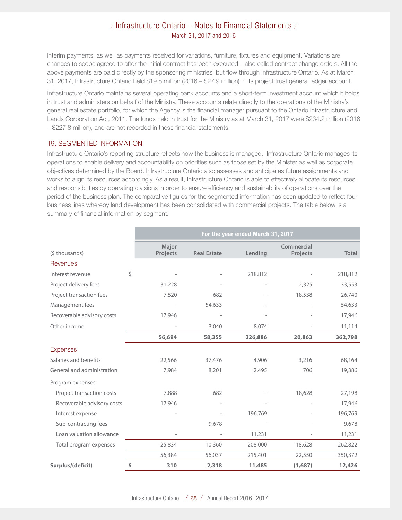interim payments, as well as payments received for variations, furniture, fixtures and equipment. Variations are changes to scope agreed to after the initial contract has been executed – also called contract change orders. All the above payments are paid directly by the sponsoring ministries, but flow through Infrastructure Ontario. As at March 31, 2017, Infrastructure Ontario held \$19.8 million (2016 – \$27.9 million) in its project trust general ledger account.

Infrastructure Ontario maintains several operating bank accounts and a short-term investment account which it holds in trust and administers on behalf of the Ministry. These accounts relate directly to the operations of the Ministry's general real estate portfolio, for which the Agency is the financial manager pursuant to the Ontario Infrastructure and Lands Corporation Act, 2011. The funds held in trust for the Ministry as at March 31, 2017 were \$234.2 million (2016 – \$227.8 million), and are not recorded in these financial statements.

## 19. SEGMENTED INFORMATION

Infrastructure Ontario's reporting structure reflects how the business is managed. Infrastructure Ontario manages its operations to enable delivery and accountability on priorities such as those set by the Minister as well as corporate objectives determined by the Board. Infrastructure Ontario also assesses and anticipates future assignments and works to align its resources accordingly. As a result, Infrastructure Ontario is able to effectively allocate its resources and responsibilities by operating divisions in order to ensure efficiency and sustainability of operations over the period of the business plan. The comparative figures for the segmented information has been updated to reflect four business lines whereby land development has been consolidated with commercial projects. The table below is a summary of financial information by segment:

|                            | For the year ended March 31, 2017 |                          |         |                        |         |  |  |  |  |  |
|----------------------------|-----------------------------------|--------------------------|---------|------------------------|---------|--|--|--|--|--|
| (\$ thousands)             | Major<br>Projects                 | <b>Real Estate</b>       | Lending | Commercial<br>Projects | Total   |  |  |  |  |  |
| Revenues                   |                                   |                          |         |                        |         |  |  |  |  |  |
| Interest revenue           | \$                                |                          | 218,812 |                        | 218,812 |  |  |  |  |  |
| Project delivery fees      | 31,228                            |                          |         | 2,325                  | 33,553  |  |  |  |  |  |
| Project transaction fees   | 7,520                             | 682                      |         | 18,538                 | 26,740  |  |  |  |  |  |
| Management fees            |                                   | 54,633                   |         |                        | 54,633  |  |  |  |  |  |
| Recoverable advisory costs | 17,946                            |                          |         |                        | 17,946  |  |  |  |  |  |
| Other income               |                                   | 3,040                    | 8,074   |                        | 11,114  |  |  |  |  |  |
|                            | 56,694                            | 58,355                   | 226,886 | 20,863                 | 362,798 |  |  |  |  |  |
| <b>Expenses</b>            |                                   |                          |         |                        |         |  |  |  |  |  |
| Salaries and benefits      | 22,566                            | 37,476                   | 4,906   | 3,216                  | 68,164  |  |  |  |  |  |
| General and administration | 7,984                             | 8,201                    | 2,495   | 706                    | 19,386  |  |  |  |  |  |
| Program expenses           |                                   |                          |         |                        |         |  |  |  |  |  |
| Project transaction costs  | 7,888                             | 682                      |         | 18,628                 | 27,198  |  |  |  |  |  |
| Recoverable advisory costs | 17,946                            |                          |         |                        | 17,946  |  |  |  |  |  |
| Interest expense           |                                   |                          | 196,769 |                        | 196,769 |  |  |  |  |  |
| Sub-contracting fees       |                                   | 9,678                    |         |                        | 9,678   |  |  |  |  |  |
| Loan valuation allowance   |                                   | $\overline{\phantom{a}}$ | 11,231  |                        | 11,231  |  |  |  |  |  |
| Total program expenses     | 25,834                            | 10,360                   | 208,000 | 18,628                 | 262,822 |  |  |  |  |  |
|                            | 56,384                            | 56,037                   | 215,401 | 22,550                 | 350,372 |  |  |  |  |  |
| Surplus/(deficit)          | \$<br>310                         | 2,318                    | 11,485  | (1,687)                | 12,426  |  |  |  |  |  |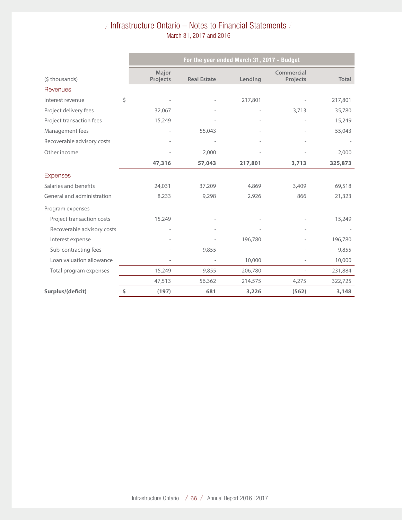# $\sqrt{}$  Infrastructure Ontario – Notes to Financial Statements  $\sqrt{}$ March 31, 2017 and 2016

| (\$ thousands)             | Major<br>Projects | <b>Real Estate</b> | Lending | Commercial<br>Projects | <b>Total</b> |
|----------------------------|-------------------|--------------------|---------|------------------------|--------------|
| Revenues                   |                   |                    |         |                        |              |
| Interest revenue           | \$                |                    | 217,801 |                        | 217,801      |
| Project delivery fees      | 32,067            |                    |         | 3,713                  | 35,780       |
| Project transaction fees   | 15,249            |                    |         |                        | 15,249       |
| Management fees            |                   | 55,043             |         |                        | 55,043       |
| Recoverable advisory costs |                   |                    |         |                        |              |
| Other income               |                   | 2,000              |         |                        | 2,000        |
|                            | 47,316            | 57,043             | 217,801 | 3,713                  | 325,873      |
| <b>Expenses</b>            |                   |                    |         |                        |              |
| Salaries and benefits      | 24,031            | 37,209             | 4,869   | 3,409                  | 69,518       |
| General and administration | 8,233             | 9,298              | 2,926   | 866                    | 21,323       |
| Program expenses           |                   |                    |         |                        |              |
| Project transaction costs  | 15,249            |                    |         |                        | 15,249       |
| Recoverable advisory costs |                   |                    |         |                        |              |
| Interest expense           |                   |                    | 196,780 |                        | 196,780      |
| Sub-contracting fees       |                   | 9,855              |         |                        | 9,855        |
| Loan valuation allowance   |                   |                    | 10,000  |                        | 10,000       |
| Total program expenses     | 15,249            | 9,855              | 206,780 |                        | 231,884      |
|                            | 47,513            | 56,362             | 214,575 | 4,275                  | 322,725      |
| Surplus/(deficit)          | \$<br>(197)       | 681                | 3,226   | (562)                  | 3,148        |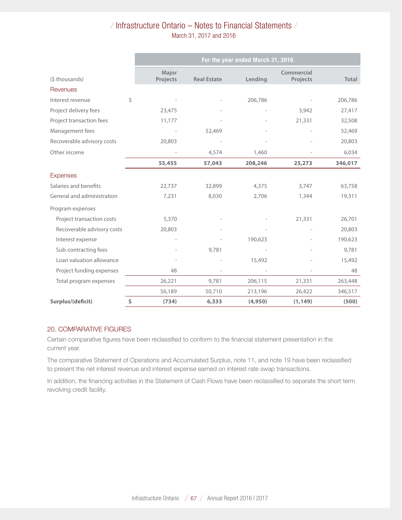|                            | For the year ended March 31, 2016 |                    |         |                        |              |  |  |  |  |
|----------------------------|-----------------------------------|--------------------|---------|------------------------|--------------|--|--|--|--|
| (\$ thousands)             | Major<br>Projects                 | <b>Real Estate</b> | Lending | Commercial<br>Projects | <b>Total</b> |  |  |  |  |
| Revenues                   |                                   |                    |         |                        |              |  |  |  |  |
| Interest revenue           | \$                                |                    | 206,786 |                        | 206,786      |  |  |  |  |
| Project delivery fees      | 23,475                            |                    |         | 3,942                  | 27,417       |  |  |  |  |
| Project transaction fees   | 11,177                            |                    |         | 21,331                 | 32,508       |  |  |  |  |
| Management fees            |                                   | 52,469             |         |                        | 52,469       |  |  |  |  |
| Recoverable advisory costs | 20,803                            |                    |         |                        | 20,803       |  |  |  |  |
| Other income               |                                   | 4,574              | 1,460   |                        | 6,034        |  |  |  |  |
|                            | 55,455                            | 57,043             | 208,246 | 25,273                 | 346,017      |  |  |  |  |
| <b>Expenses</b>            |                                   |                    |         |                        |              |  |  |  |  |
| Salaries and benefits      | 22,737                            | 32,899             | 4,375   | 3,747                  | 63,758       |  |  |  |  |
| General and administration | 7,231                             | 8,030              | 2,706   | 1,344                  | 19,311       |  |  |  |  |
| Program expenses           |                                   |                    |         |                        |              |  |  |  |  |
| Project transaction costs  | 5,370                             |                    |         | 21,331                 | 26,701       |  |  |  |  |
| Recoverable advisory costs | 20,803                            |                    |         |                        | 20,803       |  |  |  |  |
| Interest expense           |                                   |                    | 190,623 |                        | 190,623      |  |  |  |  |
| Sub-contracting fees       |                                   | 9,781              |         |                        | 9,781        |  |  |  |  |
| Loan valuation allowance   |                                   |                    | 15,492  |                        | 15,492       |  |  |  |  |
| Project funding expenses   | 48                                |                    |         |                        | 48           |  |  |  |  |
| Total program expenses     | 26,221                            | 9,781              | 206,115 | 21,331                 | 263,448      |  |  |  |  |
|                            | 56,189                            | 50,710             | 213,196 | 26,422                 | 346,517      |  |  |  |  |
| Surplus/(deficit)          | \$<br>(734)                       | 6,333              | (4,950) | (1, 149)               | (500)        |  |  |  |  |

# 20. COMPARATIVE FIGURES

Certain comparative figures have been reclassified to conform to the financial statement presentation in the current year.

The comparative Statement of Operations and Accumulated Surplus, note 11, and note 19 have been reclassified to present the net interest revenue and interest expense earned on interest rate swap transactions.

In addition, the financing activities in the Statement of Cash Flows have been reclassified to separate the short term revolving credit facility.